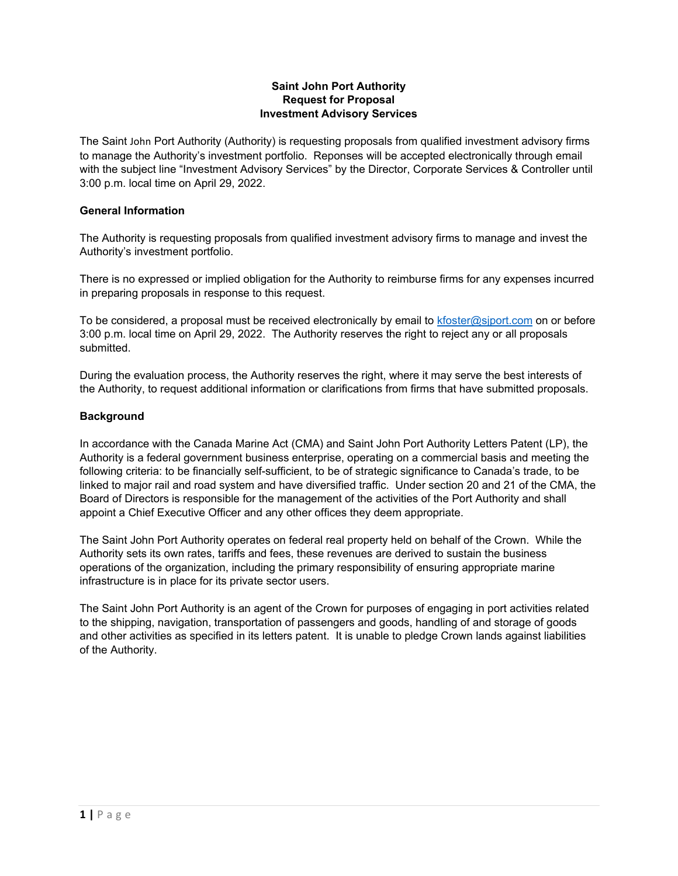### **Saint John Port Authority Request for Proposal Investment Advisory Services**

The Saint John Port Authority (Authority) is requesting proposals from qualified investment advisory firms to manage the Authority's investment portfolio. Reponses will be accepted electronically through email with the subject line "Investment Advisory Services" by the Director, Corporate Services & Controller until 3:00 p.m. local time on April 29, 2022.

### **General Information**

The Authority is requesting proposals from qualified investment advisory firms to manage and invest the Authority's investment portfolio.

There is no expressed or implied obligation for the Authority to reimburse firms for any expenses incurred in preparing proposals in response to this request.

To be considered, a proposal must be received electronically by email to  $k$ foster@sjport.com on or before 3:00 p.m. local time on April 29, 2022. The Authority reserves the right to reject any or all proposals submitted.

During the evaluation process, the Authority reserves the right, where it may serve the best interests of the Authority, to request additional information or clarifications from firms that have submitted proposals.

### **Background**

In accordance with the Canada Marine Act (CMA) and Saint John Port Authority Letters Patent (LP), the Authority is a federal government business enterprise, operating on a commercial basis and meeting the following criteria: to be financially self-sufficient, to be of strategic significance to Canada's trade, to be linked to major rail and road system and have diversified traffic. Under section 20 and 21 of the CMA, the Board of Directors is responsible for the management of the activities of the Port Authority and shall appoint a Chief Executive Officer and any other offices they deem appropriate.

The Saint John Port Authority operates on federal real property held on behalf of the Crown. While the Authority sets its own rates, tariffs and fees, these revenues are derived to sustain the business operations of the organization, including the primary responsibility of ensuring appropriate marine infrastructure is in place for its private sector users.

The Saint John Port Authority is an agent of the Crown for purposes of engaging in port activities related to the shipping, navigation, transportation of passengers and goods, handling of and storage of goods and other activities as specified in its letters patent. It is unable to pledge Crown lands against liabilities of the Authority.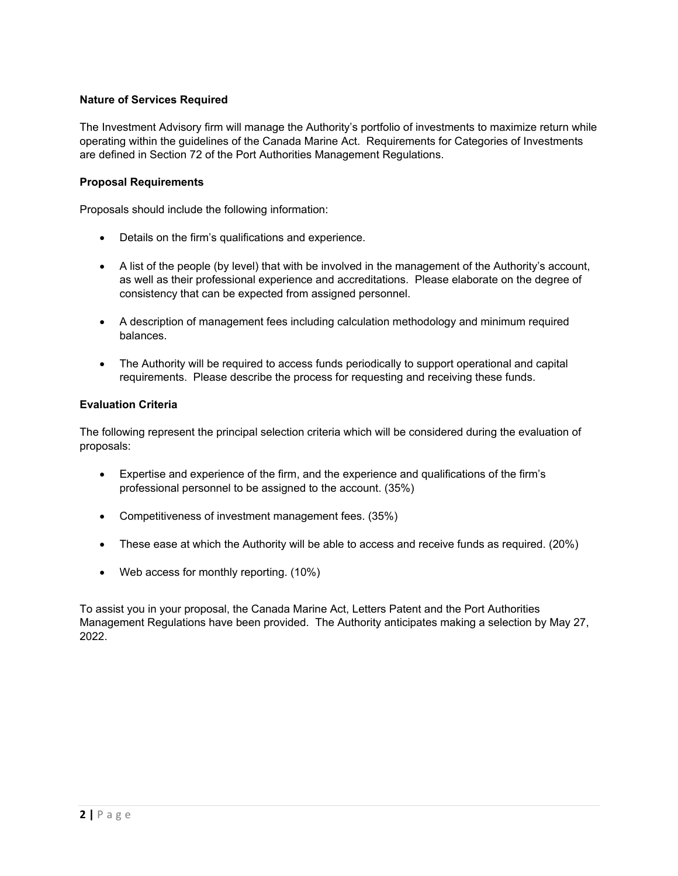### **Nature of Services Required**

The Investment Advisory firm will manage the Authority's portfolio of investments to maximize return while operating within the guidelines of the Canada Marine Act. Requirements for Categories of Investments are defined in Section 72 of the Port Authorities Management Regulations.

### **Proposal Requirements**

Proposals should include the following information:

- Details on the firm's qualifications and experience.
- A list of the people (by level) that with be involved in the management of the Authority's account, as well as their professional experience and accreditations. Please elaborate on the degree of consistency that can be expected from assigned personnel.
- A description of management fees including calculation methodology and minimum required balances.
- The Authority will be required to access funds periodically to support operational and capital requirements. Please describe the process for requesting and receiving these funds.

### **Evaluation Criteria**

The following represent the principal selection criteria which will be considered during the evaluation of proposals:

- Expertise and experience of the firm, and the experience and qualifications of the firm's professional personnel to be assigned to the account. (35%)
- Competitiveness of investment management fees. (35%)
- These ease at which the Authority will be able to access and receive funds as required. (20%)
- Web access for monthly reporting. (10%)

To assist you in your proposal, the Canada Marine Act, Letters Patent and the Port Authorities Management Regulations have been provided. The Authority anticipates making a selection by May 27, 2022.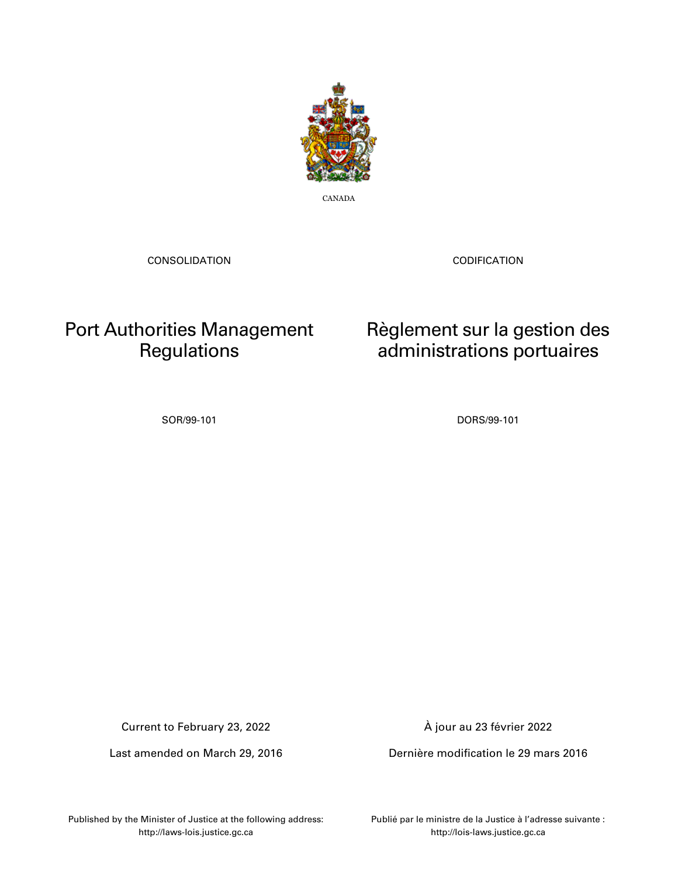

CANADA

CONSOLIDATION

CODIFICATION

Règlement sur la gestion des administrations portuaires

# Port Authorities Management **Regulations**

SOR/99-101 DORS/99-101

Current to February 23, 2022

Last amended on March 29, 2016

À jour au 23 février 2022

Dernière modification le 29 mars 2016

Published by the Minister of Justice at the following address: http://laws-lois.justice.gc.ca

Publié par le ministre de la Justice à l'adresse suivante : http://lois-laws.justice.gc.ca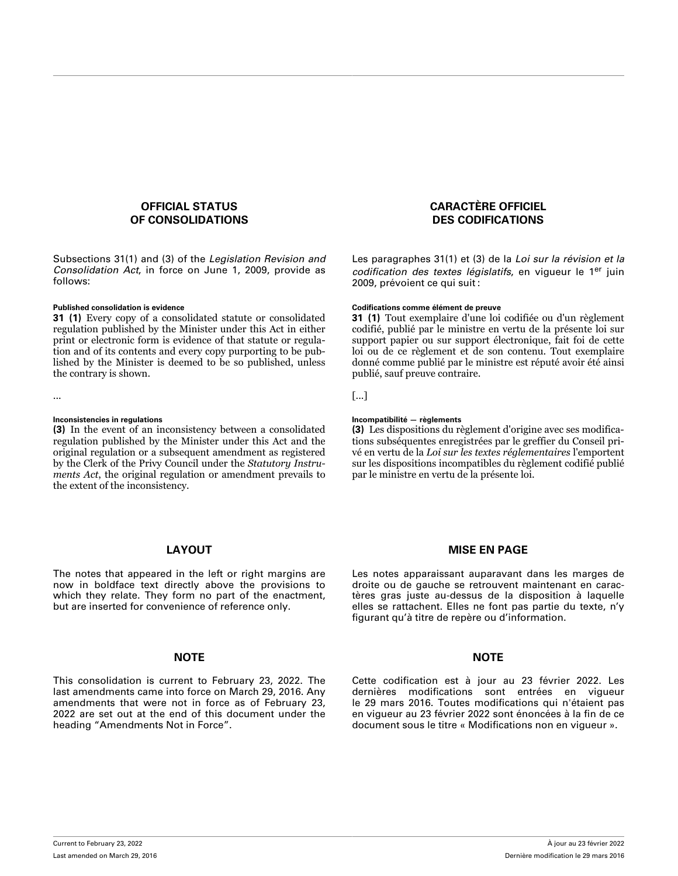### **OFFICIAL STATUS OF CONSOLIDATIONS**

Subsections 31(1) and (3) of the *Legislation Revision and Consolidation Act*, in force on June 1, 2009, provide as follows:

**31 (1)** Every copy of a consolidated statute or consolidated regulation published by the Minister under this Act in either print or electronic form is evidence of that statute or regulation and of its contents and every copy purporting to be published by the Minister is deemed to be so published, unless the contrary is shown.

**(3)** In the event of an inconsistency between a consolidated regulation published by the Minister under this Act and the original regulation or a subsequent amendment as registered by the Clerk of the Privy Council under the *Statutory Instruments Act*, the original regulation or amendment prevails to the extent of the inconsistency.

### **LAYOUT**

The notes that appeared in the left or right margins are now in boldface text directly above the provisions to which they relate. They form no part of the enactment, but are inserted for convenience of reference only.

### **NOTE NOTE**

This consolidation is current to February 23, 2022. The last amendments came into force on March 29, 2016. Any amendments that were not in force as of February 23, 2022 are set out at the end of this document under the heading "Amendments Not in Force".

### **CARACTÈRE OFFICIEL DES CODIFICATIONS**

Les paragraphes 31(1) et (3) de la *Loi sur la révision et la codification des textes législatifs*, en vigueur le 1er juin 2009, prévoient ce qui suit :

### **Published consolidation is evidence Codifications comme élément de preuve**

**31 (1)** Tout exemplaire d'une loi codifiée ou d'un règlement codifié, publié par le ministre en vertu de la présente loi sur support papier ou sur support électronique, fait foi de cette loi ou de ce règlement et de son contenu. Tout exemplaire donné comme publié par le ministre est réputé avoir été ainsi publié, sauf preuve contraire.

... [...]

### **Inconsistencies in regulations Incompatibilité — règlements**

**(3)** Les dispositions du règlement d'origine avec ses modifications subséquentes enregistrées par le greffier du Conseil privé en vertu de la *Loi sur les textes réglementaires* l'emportent sur les dispositions incompatibles du règlement codifié publié par le ministre en vertu de la présente loi.

### **MISE EN PAGE**

Les notes apparaissant auparavant dans les marges de droite ou de gauche se retrouvent maintenant en caractères gras juste au-dessus de la disposition à laquelle elles se rattachent. Elles ne font pas partie du texte, n'y figurant qu'à titre de repère ou d'information.

Cette codification est à jour au 23 février 2022. Les dernières modifications sont entrées en vigueur le 29 mars 2016. Toutes modifications qui n'étaient pas en vigueur au 23 février 2022 sont énoncées à la fin de ce document sous le titre « Modifications non en vigueur ».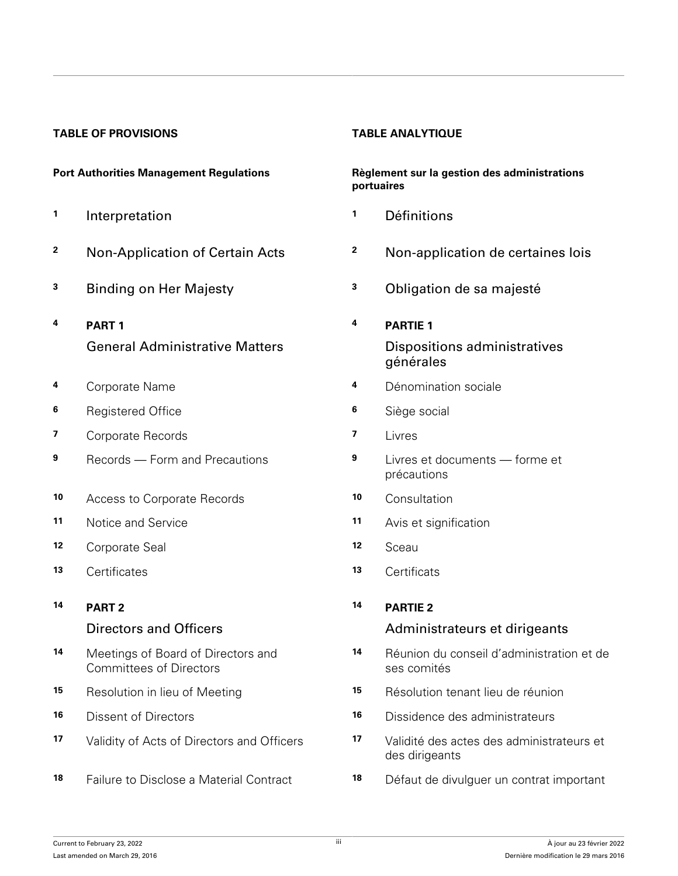### **TABLE OF PROVISIONS TABLE ANALYTIQUE**

- **1**
- 
- 
- **4 PART 1** General Administrative Matters
- 
- **6** Registered Office **6** Siège social
- **7** Corporate Records **7** Livres
- 
- **10** Access to Corporate Records **10** Consultation
- 
- **12** Corporate Seal **12** Sceau
- **13** Certificates **13** Certificats
- **14 PART 2**

### Directors and Officers

- **14** Meetings of Board of Directors and Committees of Directors
- 
- 
- 
- **18** Failure to Disclose a Material Contract **18** Défaut de divulguer un contrat important

### **Port Authorities Management Regulations Règlement sur la gestion des administrations portuaires**

- Interpretation **1** Définitions
- **<sup>2</sup>** Non-Application of Certain Acts **<sup>2</sup>** Non-application de certaines lois
- **<sup>3</sup>** Binding on Her Majesty **<sup>3</sup>** Obligation de sa majesté

### **4 PARTIE 1** Dispositions administratives générales

- **4** Corporate Name **4** Dénomination sociale
	-
	-
- **9** Records Form and Precautions **9** Livres et documents forme et précautions
	-
- **11** Notice and Service **11** Avis et signification
	-
	-

### **14 PARTIE 2**

### Administrateurs et dirigeants

- **14** Réunion du conseil d'administration et de ses comités
- **15** Resolution in lieu of Meeting **15** Résolution tenant lieu de réunion
- **16** Dissent of Directors **16** Dissidence des administrateurs
- **17** Validity of Acts of Directors and Officers **17** Validité des actes des administrateurs et des dirigeants
	-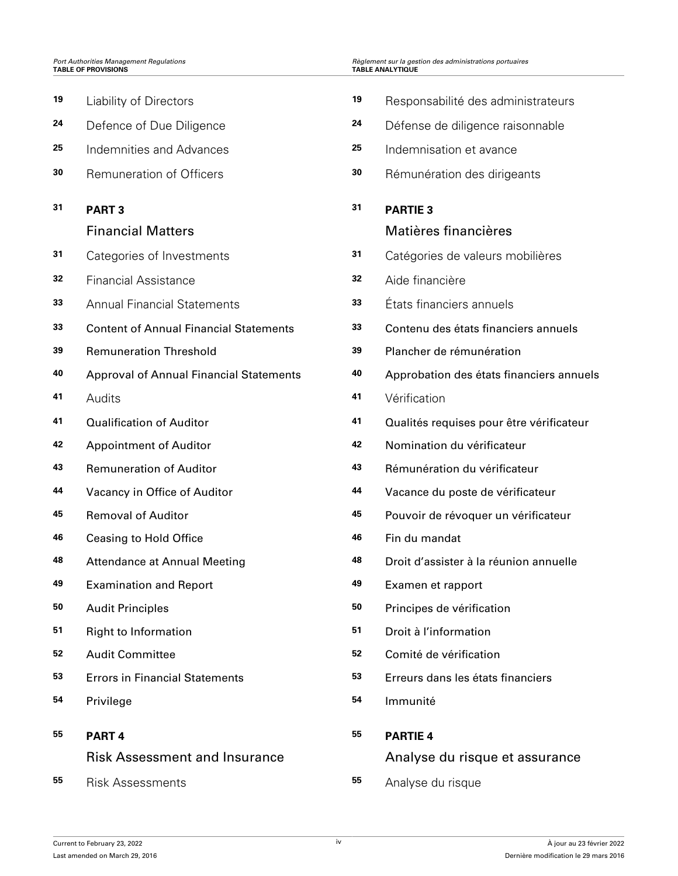| Port Authorities Management Regulations<br><b>TABLE OF PROVISIONS</b> |                                                |    | Règlement sur la gestion des administrations portuaires<br><b>TABLE ANALYTIQUE</b> |  |  |
|-----------------------------------------------------------------------|------------------------------------------------|----|------------------------------------------------------------------------------------|--|--|
| 19                                                                    | <b>Liability of Directors</b>                  | 19 | Responsabilité des administrateurs                                                 |  |  |
| 24                                                                    | Defence of Due Diligence                       | 24 | Défense de diligence raisonnable                                                   |  |  |
| 25                                                                    | <b>Indemnities and Advances</b>                | 25 | Indemnisation et avance                                                            |  |  |
| 30                                                                    | Remuneration of Officers                       | 30 | Rémunération des dirigeants                                                        |  |  |
| 31                                                                    | <b>PART3</b>                                   | 31 | <b>PARTIE 3</b>                                                                    |  |  |
|                                                                       | <b>Financial Matters</b>                       |    | Matières financières                                                               |  |  |
| 31                                                                    | Categories of Investments                      | 31 | Catégories de valeurs mobilières                                                   |  |  |
| 32                                                                    | <b>Financial Assistance</b>                    | 32 | Aide financière                                                                    |  |  |
| 33                                                                    | <b>Annual Financial Statements</b>             | 33 | États financiers annuels                                                           |  |  |
| 33                                                                    | <b>Content of Annual Financial Statements</b>  | 33 | Contenu des états financiers annuels                                               |  |  |
| 39                                                                    | <b>Remuneration Threshold</b>                  | 39 | Plancher de rémunération                                                           |  |  |
| 40                                                                    | <b>Approval of Annual Financial Statements</b> | 40 | Approbation des états financiers annuels                                           |  |  |
| 41                                                                    | Audits                                         | 41 | Vérification                                                                       |  |  |
| 41                                                                    | <b>Qualification of Auditor</b>                | 41 | Qualités requises pour être vérificateur                                           |  |  |
| 42                                                                    | <b>Appointment of Auditor</b>                  | 42 | Nomination du vérificateur                                                         |  |  |
| 43                                                                    | <b>Remuneration of Auditor</b>                 | 43 | Rémunération du vérificateur                                                       |  |  |
| 44                                                                    | Vacancy in Office of Auditor                   | 44 | Vacance du poste de vérificateur                                                   |  |  |
| 45                                                                    | <b>Removal of Auditor</b>                      | 45 | Pouvoir de révoquer un vérificateur                                                |  |  |
| 46                                                                    | <b>Ceasing to Hold Office</b>                  | 46 | Fin du mandat                                                                      |  |  |
| 48                                                                    | <b>Attendance at Annual Meeting</b>            | 48 | Droit d'assister à la réunion annuelle                                             |  |  |
| 49                                                                    | <b>Examination and Report</b>                  | 49 | Examen et rapport                                                                  |  |  |
| 50                                                                    | <b>Audit Principles</b>                        | 50 | Principes de vérification                                                          |  |  |
| 51                                                                    | <b>Right to Information</b>                    | 51 | Droit à l'information                                                              |  |  |
| 52                                                                    | <b>Audit Committee</b>                         | 52 | Comité de vérification                                                             |  |  |
| 53                                                                    | <b>Errors in Financial Statements</b>          | 53 | Erreurs dans les états financiers                                                  |  |  |
| 54                                                                    | Privilege                                      | 54 | Immunité                                                                           |  |  |
| 55                                                                    | PART <sub>4</sub>                              | 55 | <b>PARTIE 4</b>                                                                    |  |  |
|                                                                       | <b>Risk Assessment and Insurance</b>           |    | Analyse du risque et assurance                                                     |  |  |
| 55                                                                    | <b>Risk Assessments</b>                        | 55 | Analyse du risque                                                                  |  |  |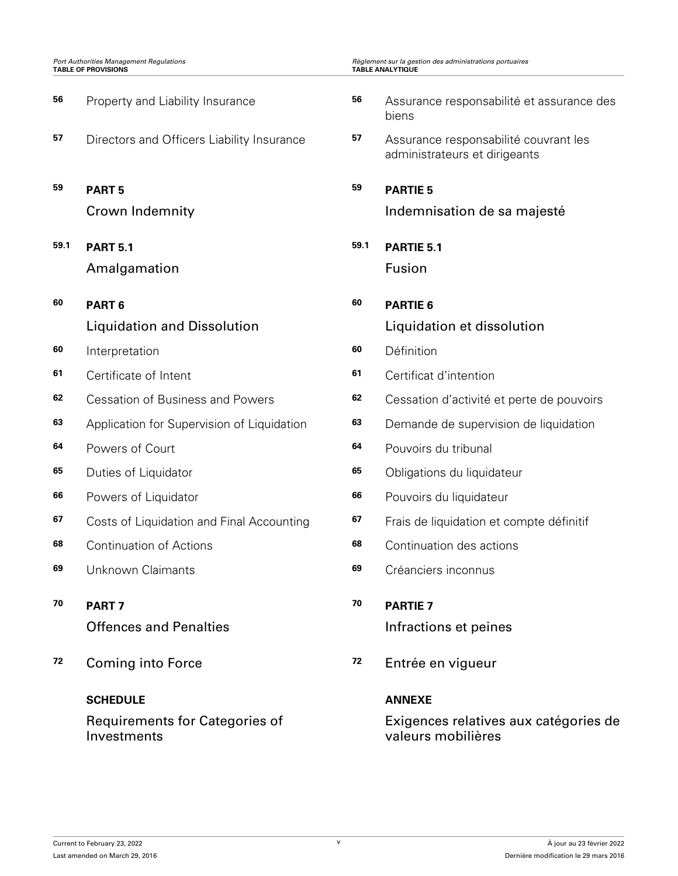| <b>Port Authorities Management Regulations</b><br><b>TABLE OF PROVISIONS</b> |                                               |      | Règlement sur la gestion des administrations portuaires<br><b>TABLE ANALYTIQUE</b> |  |  |
|------------------------------------------------------------------------------|-----------------------------------------------|------|------------------------------------------------------------------------------------|--|--|
| 56                                                                           | Property and Liability Insurance              | 56   | Assurance responsabilité et assurance des<br>biens                                 |  |  |
| 57                                                                           | Directors and Officers Liability Insurance    | 57   | Assurance responsabilité couvrant les<br>administrateurs et dirigeants             |  |  |
| 59                                                                           | <b>PART 5</b>                                 | 59   | <b>PARTIE 5</b>                                                                    |  |  |
|                                                                              | <b>Crown Indemnity</b>                        |      | Indemnisation de sa majesté                                                        |  |  |
| 59.1                                                                         | <b>PART 5.1</b>                               | 59.1 | PARTIE 5.1                                                                         |  |  |
|                                                                              | Amalgamation                                  |      | Fusion                                                                             |  |  |
| 60                                                                           | PART <sub>6</sub>                             | 60   | <b>PARTIE 6</b>                                                                    |  |  |
|                                                                              | <b>Liquidation and Dissolution</b>            |      | Liquidation et dissolution                                                         |  |  |
| 60                                                                           | Interpretation                                | 60   | Définition                                                                         |  |  |
| 61                                                                           | Certificate of Intent                         | 61   | Certificat d'intention                                                             |  |  |
| 62                                                                           | <b>Cessation of Business and Powers</b>       | 62   | Cessation d'activité et perte de pouvoirs                                          |  |  |
| 63                                                                           | Application for Supervision of Liquidation    | 63   | Demande de supervision de liquidation                                              |  |  |
| 64                                                                           | Powers of Court                               | 64   | Pouvoirs du tribunal                                                               |  |  |
| 65                                                                           | Duties of Liquidator                          | 65   | Obligations du liquidateur                                                         |  |  |
| 66                                                                           | Powers of Liquidator                          | 66   | Pouvoirs du liquidateur                                                            |  |  |
| 67                                                                           | Costs of Liquidation and Final Accounting     | 67   | Frais de liquidation et compte définitif                                           |  |  |
| 68                                                                           | <b>Continuation of Actions</b>                | 68   | Continuation des actions                                                           |  |  |
| 69                                                                           | Unknown Claimants                             | 69   | Créanciers inconnus                                                                |  |  |
| 70                                                                           | PART <sub>7</sub>                             | 70   | <b>PARTIE 7</b>                                                                    |  |  |
|                                                                              | <b>Offences and Penalties</b>                 |      | Infractions et peines                                                              |  |  |
| 72                                                                           | <b>Coming into Force</b>                      | 72   | Entrée en vigueur                                                                  |  |  |
|                                                                              | <b>SCHEDULE</b>                               |      | <b>ANNEXE</b>                                                                      |  |  |
|                                                                              | Requirements for Categories of<br>Investments |      | Exigences relatives aux catégories de<br>valeurs mobilières                        |  |  |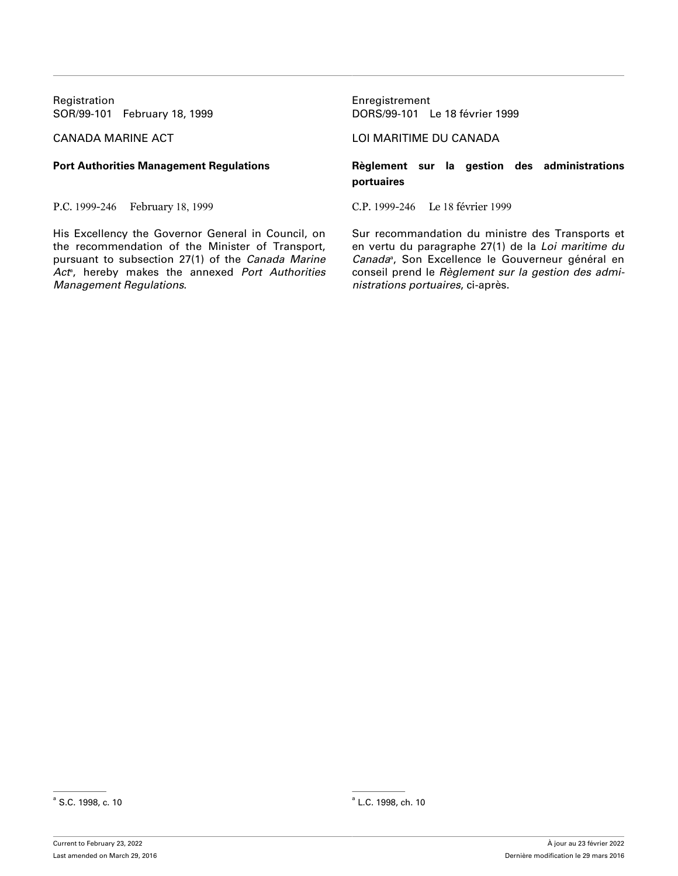Registration **Enregistrement** 

P.C. 1999-246 February 18, 1999 C.P. 1999-246 Le 18 février 1999

His Excellency the Governor General in Council, on the recommendation of the Minister of Transport, pursuant to subsection 27(1) of the *Canada Marine Act*<sup>a</sup> , hereby makes the annexed *Port Authorities Management Regulations*.

SOR/99-101 February 18, 1999 DORS/99-101 Le 18 février 1999

### CANADA MARINE ACT LOI MARITIME DU CANADA

### **Port Authorities Management Regulations Règlement sur la gestion des administrations portuaires**

Sur recommandation du ministre des Transports et en vertu du paragraphe 27(1) de la *Loi maritime du* Canada<sup>®</sup>, Son Excellence le Gouverneur général en conseil prend le *Règlement sur la gestion des administrations portuaires*, ci-après.

 $^{\circ}$  S.C. 1998, c. 10 and the set of the set of the set of the set of the set of the set of the set of the set of the set of the set of the set of the set of the set of the set of the set of the set of the set of the se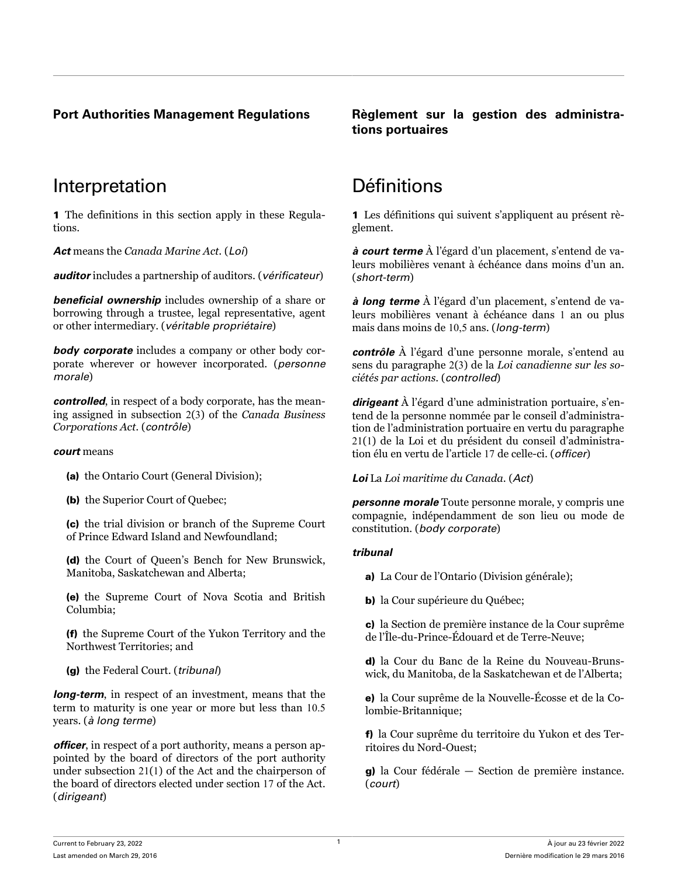### **Port Authorities Management Regulations Règlement sur la gestion des administrations portuaires**

# Interpretation Définitions

1 The definitions in this section apply in these Regulations.

*Act* means the *Canada Marine Act*. (*Loi*)

*auditor* includes a partnership of auditors. (*vérificateur*)

*beneficial ownership* includes ownership of a share or borrowing through a trustee, legal representative, agent or other intermediary. (*véritable propriétaire*)

*body corporate* includes a company or other body corporate wherever or however incorporated. (*personne morale*)

*controlled*, in respect of a body corporate, has the meaning assigned in subsection 2(3) of the *Canada Business Corporations Act*. (*contrôle*)

### *court* means

(a) the Ontario Court (General Division);

(b) the Superior Court of Quebec;

(c) the trial division or branch of the Supreme Court of Prince Edward Island and Newfoundland;

(d) the Court of Queen's Bench for New Brunswick, Manitoba, Saskatchewan and Alberta;

(e) the Supreme Court of Nova Scotia and British Columbia;

(f) the Supreme Court of the Yukon Territory and the Northwest Territories; and

(g) the Federal Court. (*tribunal*)

*long-term*, in respect of an investment, means that the term to maturity is one year or more but less than 10.5 years. (*à long terme*)

*officer*, in respect of a port authority, means a person appointed by the board of directors of the port authority under subsection 21(1) of the Act and the chairperson of the board of directors elected under section 17 of the Act. (*dirigeant*)

1 Les définitions qui suivent s'appliquent au présent règlement.

*à court terme* À l'égard d'un placement, s'entend de valeurs mobilières venant à échéance dans moins d'un an. (*short-term*)

*à long terme* À l'égard d'un placement, s'entend de valeurs mobilières venant à échéance dans 1 an ou plus mais dans moins de 10,5 ans. (*long-term*)

*contrôle* À l'égard d'une personne morale, s'entend au sens du paragraphe 2(3) de la *Loi canadienne sur les sociétés par actions*. (*controlled*)

*dirigeant* À l'égard d'une administration portuaire, s'entend de la personne nommée par le conseil d'administration de l'administration portuaire en vertu du paragraphe 21(1) de la Loi et du président du conseil d'administration élu en vertu de l'article 17 de celle-ci. (*officer*)

*Loi* La *Loi maritime du Canada*. (*Act*)

*personne morale* Toute personne morale, y compris une compagnie, indépendamment de son lieu ou mode de constitution. (*body corporate*)

### *tribunal*

a) La Cour de l'Ontario (Division générale);

b) la Cour supérieure du Québec;

c) la Section de première instance de la Cour suprême de l'Île-du-Prince-Édouard et de Terre-Neuve;

d) la Cour du Banc de la Reine du Nouveau-Brunswick, du Manitoba, de la Saskatchewan et de l'Alberta;

e) la Cour suprême de la Nouvelle-Écosse et de la Colombie-Britannique;

f) la Cour suprême du territoire du Yukon et des Territoires du Nord-Ouest;

g) la Cour fédérale — Section de première instance. (*court*)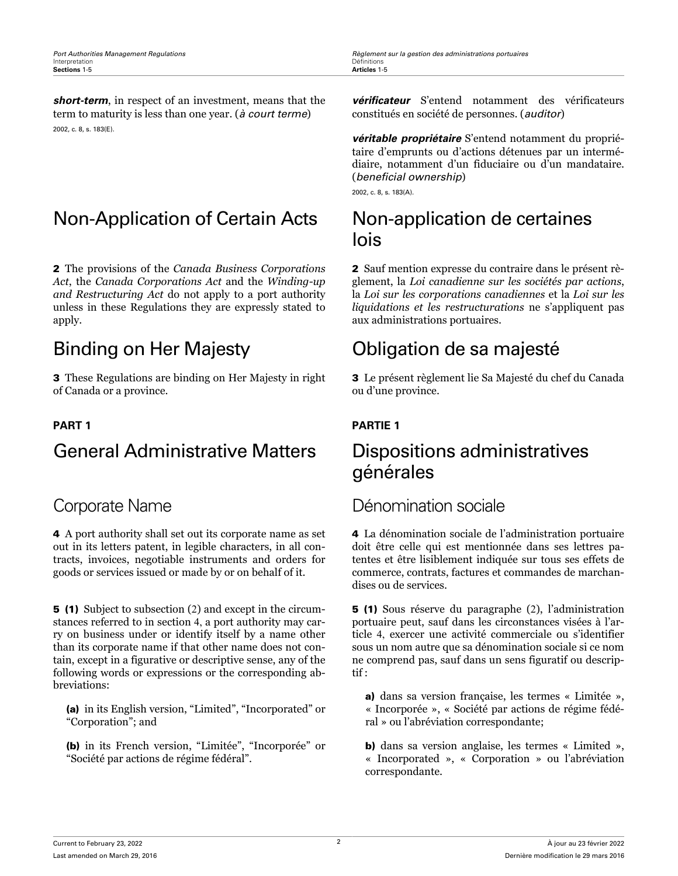**Port Authorities Management Regulations Regulations Regulations Règlement sur la gestion des administrations portuaires**<br>Interpretation

*short-term*, in respect of an investment, means that the term to maturity is less than one year. (*à court terme*) 2002, c. 8, s. 183(E).

# Non-Application of Certain Acts Non-application de certaines

2 The provisions of the *Canada Business Corporations Act*, the *Canada Corporations Act* and the *Winding-up and Restructuring Act* do not apply to a port authority unless in these Regulations they are expressly stated to apply.

3 These Regulations are binding on Her Majesty in right of Canada or a province.

# General Administrative Matters Dispositions administratives

4 A port authority shall set out its corporate name as set out in its letters patent, in legible characters, in all contracts, invoices, negotiable instruments and orders for goods or services issued or made by or on behalf of it.

5 (1) Subject to subsection (2) and except in the circumstances referred to in section 4, a port authority may carry on business under or identify itself by a name other than its corporate name if that other name does not contain, except in a figurative or descriptive sense, any of the following words or expressions or the corresponding abbreviations:

(a) in its English version, "Limited", "Incorporated" or "Corporation"; and

(b) in its French version, "Limitée", "Incorporée" or "Société par actions de régime fédéral".

*vérificateur* S'entend notamment des vérificateurs constitués en société de personnes. (*auditor*)

*véritable propriétaire* S'entend notamment du propriétaire d'emprunts ou d'actions détenues par un intermédiaire, notamment d'un fiduciaire ou d'un mandataire. (*beneficial ownership*)

2002, c. 8, s. 183(A).

# lois

2 Sauf mention expresse du contraire dans le présent règlement, la *Loi canadienne sur les sociétés par actions*, la *Loi sur les corporations canadiennes* et la *Loi sur les liquidations et les restructurations* ne s'appliquent pas aux administrations portuaires.

# Binding on Her Majesty Obligation de sa majesté

3 Le présent règlement lie Sa Majesté du chef du Canada ou d'une province.

### **PART 1 PARTIE 1**

# générales

# Corporate Name **Dénomination** sociale

4 La dénomination sociale de l'administration portuaire doit être celle qui est mentionnée dans ses lettres patentes et être lisiblement indiquée sur tous ses effets de commerce, contrats, factures et commandes de marchandises ou de services.

5 (1) Sous réserve du paragraphe (2), l'administration portuaire peut, sauf dans les circonstances visées à l'article 4, exercer une activité commerciale ou s'identifier sous un nom autre que sa dénomination sociale si ce nom ne comprend pas, sauf dans un sens figuratif ou descriptif :

a) dans sa version française, les termes « Limitée », « Incorporée », « Société par actions de régime fédéral » ou l'abréviation correspondante;

b) dans sa version anglaise, les termes « Limited », « Incorporated », « Corporation » ou l'abréviation correspondante.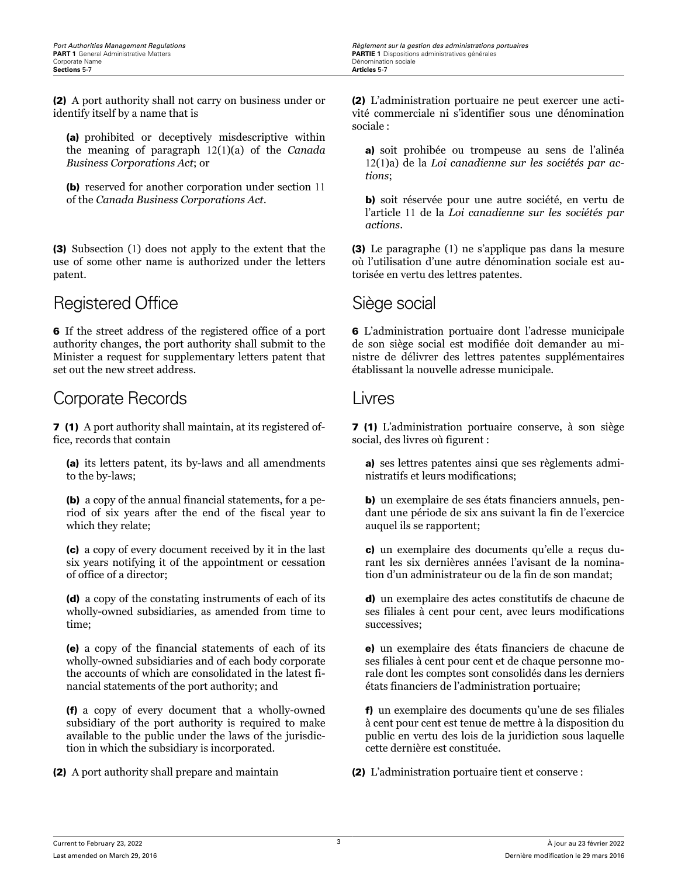(2) A port authority shall not carry on business under or identify itself by a name that is

(a) prohibited or deceptively misdescriptive within the meaning of paragraph 12(1)(a) of the *Canada Business Corporations Act*; or

(b) reserved for another corporation under section 11 of the *Canada Business Corporations Act*.

(3) Subsection (1) does not apply to the extent that the use of some other name is authorized under the letters patent.

# Registered Office Siège social

6 If the street address of the registered office of a port authority changes, the port authority shall submit to the Minister a request for supplementary letters patent that set out the new street address.

# Corporate Records Livres

7 (1) A port authority shall maintain, at its registered office, records that contain

(a) its letters patent, its by-laws and all amendments to the by-laws;

(b) a copy of the annual financial statements, for a period of six years after the end of the fiscal year to which they relate;

(c) a copy of every document received by it in the last six years notifying it of the appointment or cessation of office of a director;

(d) a copy of the constating instruments of each of its wholly-owned subsidiaries, as amended from time to time;

(e) a copy of the financial statements of each of its wholly-owned subsidiaries and of each body corporate the accounts of which are consolidated in the latest financial statements of the port authority; and

(f) a copy of every document that a wholly-owned subsidiary of the port authority is required to make available to the public under the laws of the jurisdiction in which the subsidiary is incorporated.

(2) L'administration portuaire ne peut exercer une activité commerciale ni s'identifier sous une dénomination sociale :

a) soit prohibée ou trompeuse au sens de l'alinéa 12(1)a) de la *Loi canadienne sur les sociétés par actions*;

b) soit réservée pour une autre société, en vertu de l'article 11 de la *Loi canadienne sur les sociétés par actions*.

(3) Le paragraphe (1) ne s'applique pas dans la mesure où l'utilisation d'une autre dénomination sociale est autorisée en vertu des lettres patentes.

6 L'administration portuaire dont l'adresse municipale de son siège social est modifiée doit demander au ministre de délivrer des lettres patentes supplémentaires établissant la nouvelle adresse municipale.

7 (1) L'administration portuaire conserve, à son siège social, des livres où figurent :

a) ses lettres patentes ainsi que ses règlements administratifs et leurs modifications;

b) un exemplaire de ses états financiers annuels, pendant une période de six ans suivant la fin de l'exercice auquel ils se rapportent;

c) un exemplaire des documents qu'elle a reçus durant les six dernières années l'avisant de la nomination d'un administrateur ou de la fin de son mandat;

d) un exemplaire des actes constitutifs de chacune de ses filiales à cent pour cent, avec leurs modifications successives;

e) un exemplaire des états financiers de chacune de ses filiales à cent pour cent et de chaque personne morale dont les comptes sont consolidés dans les derniers états financiers de l'administration portuaire;

f) un exemplaire des documents qu'une de ses filiales à cent pour cent est tenue de mettre à la disposition du public en vertu des lois de la juridiction sous laquelle cette dernière est constituée.

(2) A port authority shall prepare and maintain (2) L'administration portuaire tient et conserve :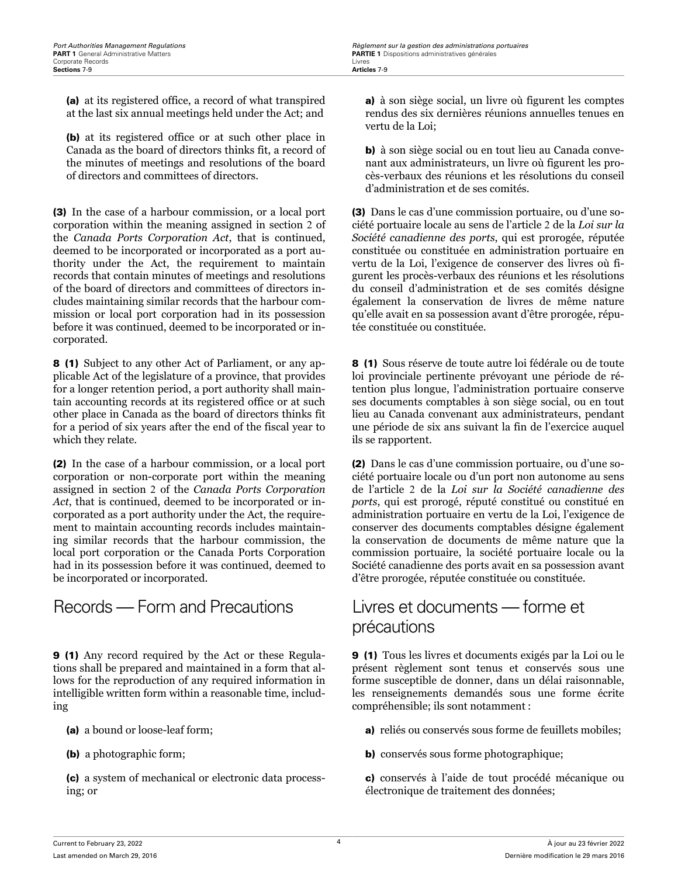(a) at its registered office, a record of what transpired at the last six annual meetings held under the Act; and

(b) at its registered office or at such other place in Canada as the board of directors thinks fit, a record of the minutes of meetings and resolutions of the board of directors and committees of directors.

(3) In the case of a harbour commission, or a local port corporation within the meaning assigned in section 2 of the *Canada Ports Corporation Act*, that is continued, deemed to be incorporated or incorporated as a port authority under the Act, the requirement to maintain records that contain minutes of meetings and resolutions of the board of directors and committees of directors includes maintaining similar records that the harbour commission or local port corporation had in its possession before it was continued, deemed to be incorporated or incorporated.

8 (1) Subject to any other Act of Parliament, or any applicable Act of the legislature of a province, that provides for a longer retention period, a port authority shall maintain accounting records at its registered office or at such other place in Canada as the board of directors thinks fit for a period of six years after the end of the fiscal year to which they relate.

(2) In the case of a harbour commission, or a local port corporation or non-corporate port within the meaning assigned in section 2 of the *Canada Ports Corporation Act*, that is continued, deemed to be incorporated or incorporated as a port authority under the Act, the requirement to maintain accounting records includes maintaining similar records that the harbour commission, the local port corporation or the Canada Ports Corporation had in its possession before it was continued, deemed to be incorporated or incorporated.

# Records — Form and Precautions Livres et documents — forme et

9 (1) Any record required by the Act or these Regulations shall be prepared and maintained in a form that allows for the reproduction of any required information in intelligible written form within a reasonable time, including

(a) a bound or loose-leaf form;

(b) a photographic form;

(c) a system of mechanical or electronic data processing; or

a) à son siège social, un livre où figurent les comptes rendus des six dernières réunions annuelles tenues en vertu de la Loi;

b) à son siège social ou en tout lieu au Canada convenant aux administrateurs, un livre où figurent les procès-verbaux des réunions et les résolutions du conseil d'administration et de ses comités.

(3) Dans le cas d'une commission portuaire, ou d'une société portuaire locale au sens de l'article 2 de la *Loi sur la Société canadienne des ports*, qui est prorogée, réputée constituée ou constituée en administration portuaire en vertu de la Loi, l'exigence de conserver des livres où figurent les procès-verbaux des réunions et les résolutions du conseil d'administration et de ses comités désigne également la conservation de livres de même nature qu'elle avait en sa possession avant d'être prorogée, réputée constituée ou constituée.

8 (1) Sous réserve de toute autre loi fédérale ou de toute loi provinciale pertinente prévoyant une période de rétention plus longue, l'administration portuaire conserve ses documents comptables à son siège social, ou en tout lieu au Canada convenant aux administrateurs, pendant une période de six ans suivant la fin de l'exercice auquel ils se rapportent.

(2) Dans le cas d'une commission portuaire, ou d'une société portuaire locale ou d'un port non autonome au sens de l'article 2 de la *Loi sur la Société canadienne des ports*, qui est prorogé, réputé constitué ou constitué en administration portuaire en vertu de la Loi, l'exigence de conserver des documents comptables désigne également la conservation de documents de même nature que la commission portuaire, la société portuaire locale ou la Société canadienne des ports avait en sa possession avant d'être prorogée, réputée constituée ou constituée.

# précautions

9 (1) Tous les livres et documents exigés par la Loi ou le présent règlement sont tenus et conservés sous une forme susceptible de donner, dans un délai raisonnable, les renseignements demandés sous une forme écrite compréhensible; ils sont notamment :

- a) reliés ou conservés sous forme de feuillets mobiles;
- b) conservés sous forme photographique;

c) conservés à l'aide de tout procédé mécanique ou électronique de traitement des données;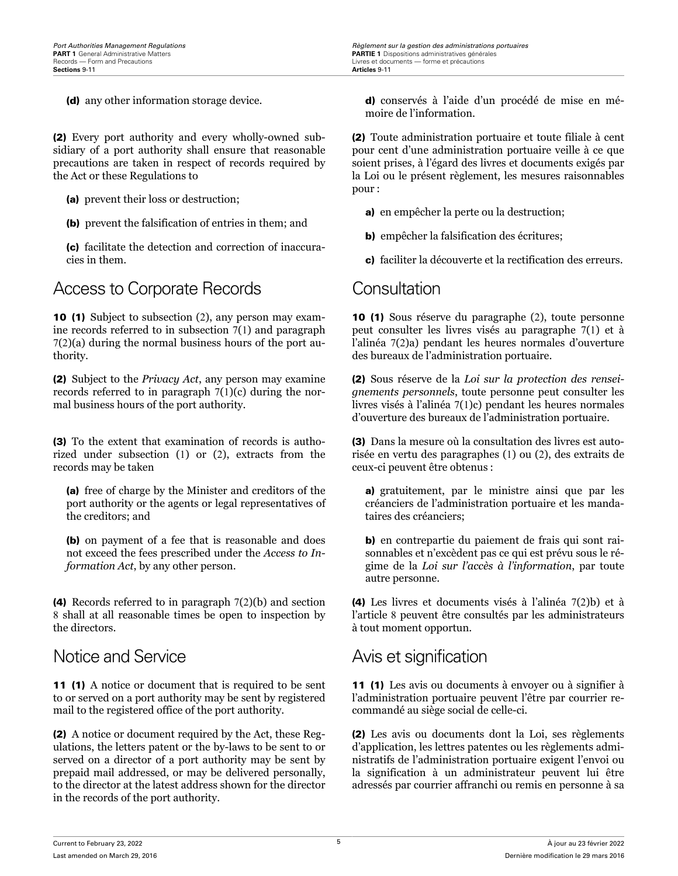(2) Every port authority and every wholly-owned subsidiary of a port authority shall ensure that reasonable precautions are taken in respect of records required by the Act or these Regulations to

- (a) prevent their loss or destruction;
- (b) prevent the falsification of entries in them; and

(c) facilitate the detection and correction of inaccuracies in them.

# Access to Corporate Records Consultation

10 (1) Subject to subsection (2), any person may examine records referred to in subsection 7(1) and paragraph 7(2)(a) during the normal business hours of the port authority.

(2) Subject to the *Privacy Act*, any person may examine records referred to in paragraph 7(1)(c) during the normal business hours of the port authority.

(3) To the extent that examination of records is authorized under subsection (1) or (2), extracts from the records may be taken

(a) free of charge by the Minister and creditors of the port authority or the agents or legal representatives of the creditors; and

(b) on payment of a fee that is reasonable and does not exceed the fees prescribed under the *Access to Information Act*, by any other person.

(4) Records referred to in paragraph 7(2)(b) and section 8 shall at all reasonable times be open to inspection by the directors.

# Notice and Service **Avis et signification**

11 (1) A notice or document that is required to be sent to or served on a port authority may be sent by registered mail to the registered office of the port authority.

(2) A notice or document required by the Act, these Regulations, the letters patent or the by-laws to be sent to or served on a director of a port authority may be sent by prepaid mail addressed, or may be delivered personally, to the director at the latest address shown for the director in the records of the port authority.

(d) any other information storage device. d) conservés à l'aide d'un procédé de mise en mémoire de l'information.

> (2) Toute administration portuaire et toute filiale à cent pour cent d'une administration portuaire veille à ce que soient prises, à l'égard des livres et documents exigés par la Loi ou le présent règlement, les mesures raisonnables pour :

a) en empêcher la perte ou la destruction;

b) empêcher la falsification des écritures;

c) faciliter la découverte et la rectification des erreurs.

10 (1) Sous réserve du paragraphe (2), toute personne peut consulter les livres visés au paragraphe 7(1) et à l'alinéa 7(2)a) pendant les heures normales d'ouverture des bureaux de l'administration portuaire.

(2) Sous réserve de la *Loi sur la protection des renseignements personnels*, toute personne peut consulter les livres visés à l'alinéa 7(1)c) pendant les heures normales d'ouverture des bureaux de l'administration portuaire.

(3) Dans la mesure où la consultation des livres est autorisée en vertu des paragraphes (1) ou (2), des extraits de ceux-ci peuvent être obtenus :

a) gratuitement, par le ministre ainsi que par les créanciers de l'administration portuaire et les mandataires des créanciers;

b) en contrepartie du paiement de frais qui sont raisonnables et n'excèdent pas ce qui est prévu sous le régime de la *Loi sur l'accès à l'information*, par toute autre personne.

(4) Les livres et documents visés à l'alinéa 7(2)b) et à l'article 8 peuvent être consultés par les administrateurs à tout moment opportun.

11 (1) Les avis ou documents à envoyer ou à signifier à l'administration portuaire peuvent l'être par courrier recommandé au siège social de celle-ci.

(2) Les avis ou documents dont la Loi, ses règlements d'application, les lettres patentes ou les règlements administratifs de l'administration portuaire exigent l'envoi ou la signification à un administrateur peuvent lui être adressés par courrier affranchi ou remis en personne à sa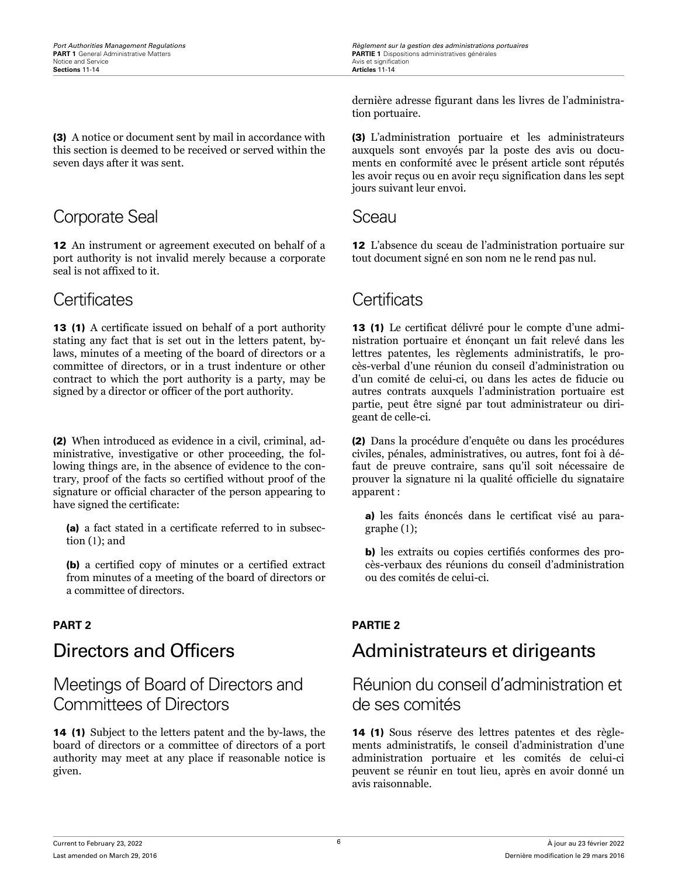(3) A notice or document sent by mail in accordance with this section is deemed to be received or served within the seven days after it was sent.

# Corporate Seal Sceau Sceau

12 An instrument or agreement executed on behalf of a port authority is not invalid merely because a corporate seal is not affixed to it.

# Certificates Certificats

13 (1) A certificate issued on behalf of a port authority stating any fact that is set out in the letters patent, bylaws, minutes of a meeting of the board of directors or a committee of directors, or in a trust indenture or other contract to which the port authority is a party, may be signed by a director or officer of the port authority.

(2) When introduced as evidence in a civil, criminal, administrative, investigative or other proceeding, the following things are, in the absence of evidence to the contrary, proof of the facts so certified without proof of the signature or official character of the person appearing to have signed the certificate:

(a) a fact stated in a certificate referred to in subsection (1); and

(b) a certified copy of minutes or a certified extract from minutes of a meeting of the board of directors or a committee of directors.

# Meetings of Board of Directors and Committees of Directors

14 (1) Subject to the letters patent and the by-laws, the board of directors or a committee of directors of a port authority may meet at any place if reasonable notice is given.

dernière adresse figurant dans les livres de l'administration portuaire.

(3) L'administration portuaire et les administrateurs auxquels sont envoyés par la poste des avis ou documents en conformité avec le présent article sont réputés les avoir reçus ou en avoir reçu signification dans les sept jours suivant leur envoi.

12 L'absence du sceau de l'administration portuaire sur tout document signé en son nom ne le rend pas nul.

13 (1) Le certificat délivré pour le compte d'une administration portuaire et énonçant un fait relevé dans les lettres patentes, les règlements administratifs, le procès-verbal d'une réunion du conseil d'administration ou d'un comité de celui-ci, ou dans les actes de fiducie ou autres contrats auxquels l'administration portuaire est partie, peut être signé par tout administrateur ou dirigeant de celle-ci.

(2) Dans la procédure d'enquête ou dans les procédures civiles, pénales, administratives, ou autres, font foi à défaut de preuve contraire, sans qu'il soit nécessaire de prouver la signature ni la qualité officielle du signataire apparent :

a) les faits énoncés dans le certificat visé au paragraphe (1);

b) les extraits ou copies certifiés conformes des procès-verbaux des réunions du conseil d'administration ou des comités de celui-ci.

### **PART 2 PARTIE 2**

# Directors and Officers **Administrateurs et dirigeants**

Réunion du conseil d'administration et de ses comités

14 (1) Sous réserve des lettres patentes et des règlements administratifs, le conseil d'administration d'une administration portuaire et les comités de celui-ci peuvent se réunir en tout lieu, après en avoir donné un avis raisonnable.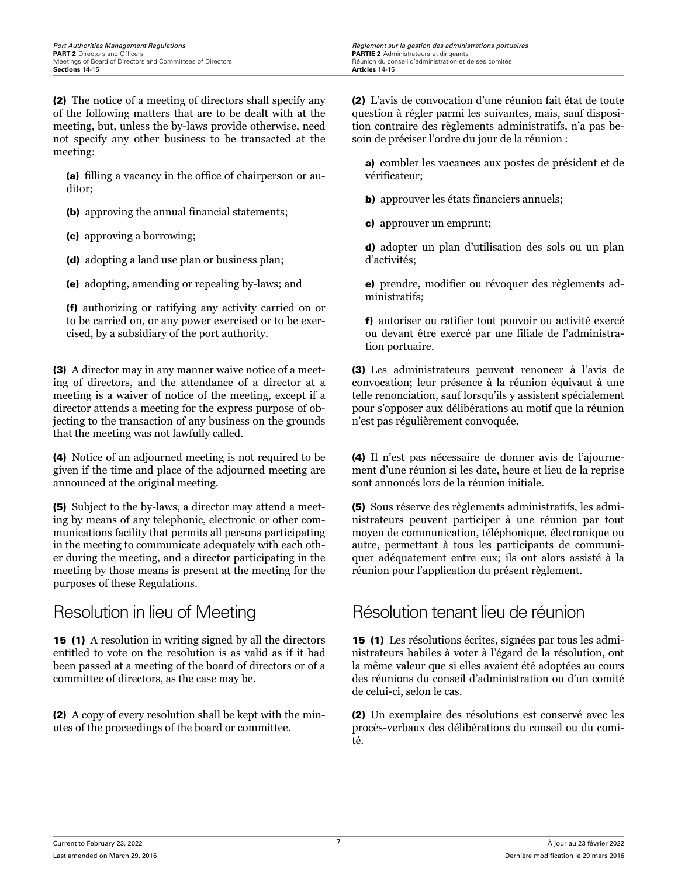(2) The notice of a meeting of directors shall specify any of the following matters that are to be dealt with at the meeting, but, unless the by-laws provide otherwise, need not specify any other business to be transacted at the meeting:

(a) filling a vacancy in the office of chairperson or auditor;

(b) approving the annual financial statements;

(c) approving a borrowing;

(d) adopting a land use plan or business plan;

(e) adopting, amending or repealing by-laws; and

(f) authorizing or ratifying any activity carried on or to be carried on, or any power exercised or to be exercised, by a subsidiary of the port authority.

(3) A director may in any manner waive notice of a meeting of directors, and the attendance of a director at a meeting is a waiver of notice of the meeting, except if a director attends a meeting for the express purpose of objecting to the transaction of any business on the grounds that the meeting was not lawfully called.

(4) Notice of an adjourned meeting is not required to be given if the time and place of the adjourned meeting are announced at the original meeting.

(5) Subject to the by-laws, a director may attend a meeting by means of any telephonic, electronic or other communications facility that permits all persons participating in the meeting to communicate adequately with each other during the meeting, and a director participating in the meeting by those means is present at the meeting for the purposes of these Regulations.

15 (1) A resolution in writing signed by all the directors entitled to vote on the resolution is as valid as if it had been passed at a meeting of the board of directors or of a committee of directors, as the case may be.

(2) A copy of every resolution shall be kept with the minutes of the proceedings of the board or committee.

(2) L'avis de convocation d'une réunion fait état de toute question à régler parmi les suivantes, mais, sauf disposition contraire des règlements administratifs, n'a pas besoin de préciser l'ordre du jour de la réunion :

a) combler les vacances aux postes de président et de vérificateur;

b) approuver les états financiers annuels;

c) approuver un emprunt;

d) adopter un plan d'utilisation des sols ou un plan d'activités;

e) prendre, modifier ou révoquer des règlements administratifs;

f) autoriser ou ratifier tout pouvoir ou activité exercé ou devant être exercé par une filiale de l'administration portuaire.

(3) Les administrateurs peuvent renoncer à l'avis de convocation; leur présence à la réunion équivaut à une telle renonciation, sauf lorsqu'ils y assistent spécialement pour s'opposer aux délibérations au motif que la réunion n'est pas régulièrement convoquée.

(4) Il n'est pas nécessaire de donner avis de l'ajournement d'une réunion si les date, heure et lieu de la reprise sont annoncés lors de la réunion initiale.

(5) Sous réserve des règlements administratifs, les administrateurs peuvent participer à une réunion par tout moyen de communication, téléphonique, électronique ou autre, permettant à tous les participants de communiquer adéquatement entre eux; ils ont alors assisté à la réunion pour l'application du présent règlement.

# Resolution in lieu of Meeting Résolution tenant lieu de réunion

15 (1) Les résolutions écrites, signées par tous les administrateurs habiles à voter à l'égard de la résolution, ont la même valeur que si elles avaient été adoptées au cours des réunions du conseil d'administration ou d'un comité de celui-ci, selon le cas.

(2) Un exemplaire des résolutions est conservé avec les procès-verbaux des délibérations du conseil ou du comité.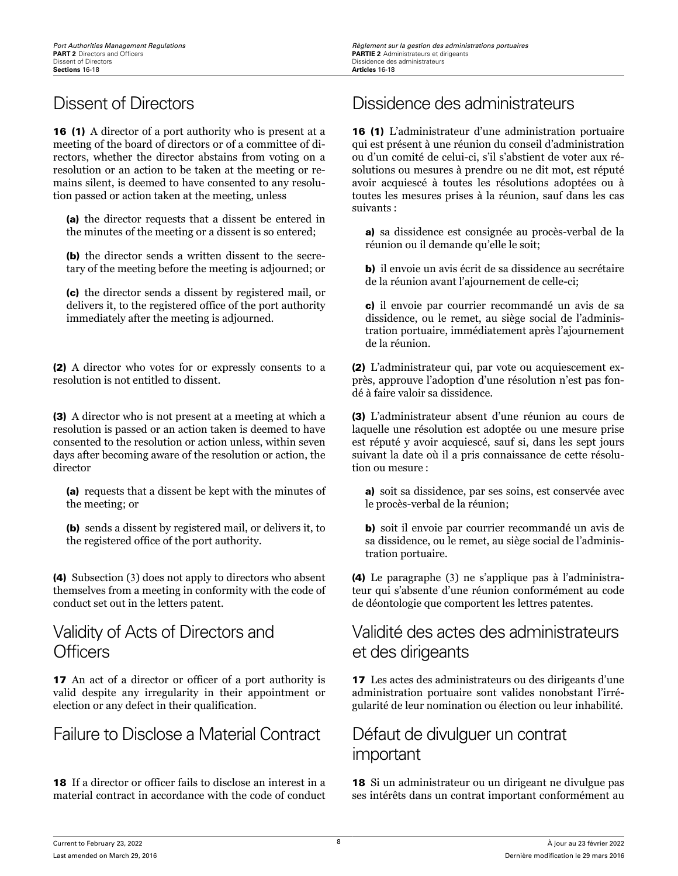### **Port Authorities Management Regulations**<br>**PART 2** Directors and Officers<br>**PART 2** Administrateurs et dirigeants Dissidence des administrateurs<br>**Articles** 16-18

16 (1) A director of a port authority who is present at a meeting of the board of directors or of a committee of directors, whether the director abstains from voting on a resolution or an action to be taken at the meeting or remains silent, is deemed to have consented to any resolution passed or action taken at the meeting, unless

(a) the director requests that a dissent be entered in the minutes of the meeting or a dissent is so entered;

(b) the director sends a written dissent to the secretary of the meeting before the meeting is adjourned; or

(c) the director sends a dissent by registered mail, or delivers it, to the registered office of the port authority immediately after the meeting is adjourned.

(2) A director who votes for or expressly consents to a resolution is not entitled to dissent.

(3) A director who is not present at a meeting at which a resolution is passed or an action taken is deemed to have consented to the resolution or action unless, within seven days after becoming aware of the resolution or action, the director

(a) requests that a dissent be kept with the minutes of the meeting; or

(b) sends a dissent by registered mail, or delivers it, to the registered office of the port authority.

(4) Subsection (3) does not apply to directors who absent themselves from a meeting in conformity with the code of conduct set out in the letters patent.

# Validity of Acts of Directors and **Officers**

17 An act of a director or officer of a port authority is valid despite any irregularity in their appointment or election or any defect in their qualification.

Failure to Disclose a Material Contract Défaut de divulguer un contrat

18 If a director or officer fails to disclose an interest in a material contract in accordance with the code of conduct

# Dissent of Directors **Dissidence des administrateurs**

16 (1) L'administrateur d'une administration portuaire qui est présent à une réunion du conseil d'administration ou d'un comité de celui-ci, s'il s'abstient de voter aux résolutions ou mesures à prendre ou ne dit mot, est réputé avoir acquiescé à toutes les résolutions adoptées ou à toutes les mesures prises à la réunion, sauf dans les cas suivants :

a) sa dissidence est consignée au procès-verbal de la réunion ou il demande qu'elle le soit;

b) il envoie un avis écrit de sa dissidence au secrétaire de la réunion avant l'ajournement de celle-ci;

c) il envoie par courrier recommandé un avis de sa dissidence, ou le remet, au siège social de l'administration portuaire, immédiatement après l'ajournement de la réunion.

(2) L'administrateur qui, par vote ou acquiescement exprès, approuve l'adoption d'une résolution n'est pas fondé à faire valoir sa dissidence.

(3) L'administrateur absent d'une réunion au cours de laquelle une résolution est adoptée ou une mesure prise est réputé y avoir acquiescé, sauf si, dans les sept jours suivant la date où il a pris connaissance de cette résolution ou mesure :

a) soit sa dissidence, par ses soins, est conservée avec le procès-verbal de la réunion;

b) soit il envoie par courrier recommandé un avis de sa dissidence, ou le remet, au siège social de l'administration portuaire.

(4) Le paragraphe (3) ne s'applique pas à l'administrateur qui s'absente d'une réunion conformément au code de déontologie que comportent les lettres patentes.

# Validité des actes des administrateurs et des dirigeants

17 Les actes des administrateurs ou des dirigeants d'une administration portuaire sont valides nonobstant l'irrégularité de leur nomination ou élection ou leur inhabilité.

# important

18 Si un administrateur ou un dirigeant ne divulgue pas ses intérêts dans un contrat important conformément au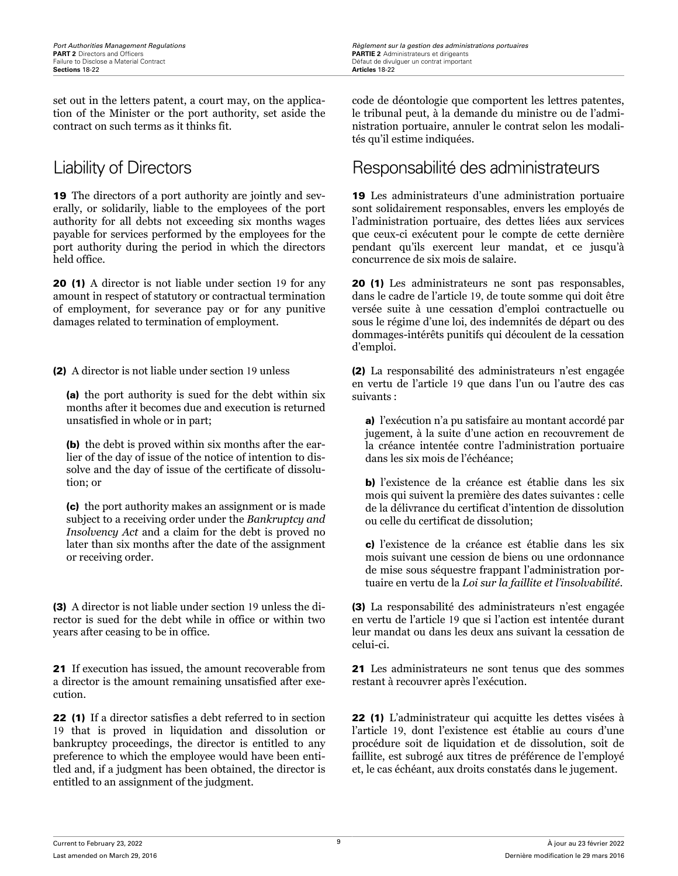set out in the letters patent, a court may, on the application of the Minister or the port authority, set aside the contract on such terms as it thinks fit.

19 The directors of a port authority are jointly and severally, or solidarily, liable to the employees of the port authority for all debts not exceeding six months wages payable for services performed by the employees for the port authority during the period in which the directors held office.

20 (1) A director is not liable under section 19 for any amount in respect of statutory or contractual termination of employment, for severance pay or for any punitive damages related to termination of employment.

(2) A director is not liable under section 19 unless

(a) the port authority is sued for the debt within six months after it becomes due and execution is returned unsatisfied in whole or in part;

(b) the debt is proved within six months after the earlier of the day of issue of the notice of intention to dissolve and the day of issue of the certificate of dissolution; or

(c) the port authority makes an assignment or is made subject to a receiving order under the *Bankruptcy and Insolvency Act* and a claim for the debt is proved no later than six months after the date of the assignment or receiving order.

(3) A director is not liable under section 19 unless the director is sued for the debt while in office or within two years after ceasing to be in office.

21 If execution has issued, the amount recoverable from a director is the amount remaining unsatisfied after execution.

22 (1) If a director satisfies a debt referred to in section 19 that is proved in liquidation and dissolution or bankruptcy proceedings, the director is entitled to any preference to which the employee would have been entitled and, if a judgment has been obtained, the director is entitled to an assignment of the judgment.

code de déontologie que comportent les lettres patentes, le tribunal peut, à la demande du ministre ou de l'administration portuaire, annuler le contrat selon les modalités qu'il estime indiquées.

# Liability of Directors **Responsabilité des administrateurs**

19 Les administrateurs d'une administration portuaire sont solidairement responsables, envers les employés de l'administration portuaire, des dettes liées aux services que ceux-ci exécutent pour le compte de cette dernière pendant qu'ils exercent leur mandat, et ce jusqu'à concurrence de six mois de salaire.

20 (1) Les administrateurs ne sont pas responsables, dans le cadre de l'article 19, de toute somme qui doit être versée suite à une cessation d'emploi contractuelle ou sous le régime d'une loi, des indemnités de départ ou des dommages-intérêts punitifs qui découlent de la cessation d'emploi.

(2) La responsabilité des administrateurs n'est engagée en vertu de l'article 19 que dans l'un ou l'autre des cas suivants :

a) l'exécution n'a pu satisfaire au montant accordé par jugement, à la suite d'une action en recouvrement de la créance intentée contre l'administration portuaire dans les six mois de l'échéance;

b) l'existence de la créance est établie dans les six mois qui suivent la première des dates suivantes : celle de la délivrance du certificat d'intention de dissolution ou celle du certificat de dissolution;

c) l'existence de la créance est établie dans les six mois suivant une cession de biens ou une ordonnance de mise sous séquestre frappant l'administration portuaire en vertu de la *Loi sur la faillite et l'insolvabilité*.

(3) La responsabilité des administrateurs n'est engagée en vertu de l'article 19 que si l'action est intentée durant leur mandat ou dans les deux ans suivant la cessation de celui-ci.

21 Les administrateurs ne sont tenus que des sommes restant à recouvrer après l'exécution.

22 (1) L'administrateur qui acquitte les dettes visées à l'article 19, dont l'existence est établie au cours d'une procédure soit de liquidation et de dissolution, soit de faillite, est subrogé aux titres de préférence de l'employé et, le cas échéant, aux droits constatés dans le jugement.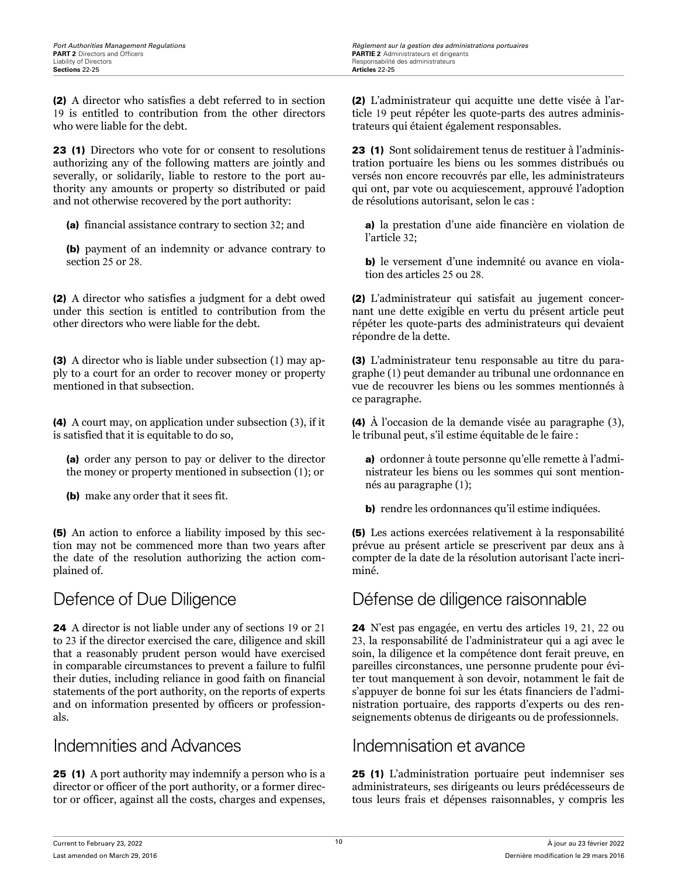(2) A director who satisfies a debt referred to in section 19 is entitled to contribution from the other directors who were liable for the debt.

23 (1) Directors who vote for or consent to resolutions authorizing any of the following matters are jointly and severally, or solidarily, liable to restore to the port authority any amounts or property so distributed or paid and not otherwise recovered by the port authority:

(a) financial assistance contrary to section 32; and

(b) payment of an indemnity or advance contrary to section 25 or 28.

(2) A director who satisfies a judgment for a debt owed under this section is entitled to contribution from the other directors who were liable for the debt.

(3) A director who is liable under subsection (1) may apply to a court for an order to recover money or property mentioned in that subsection.

(4) A court may, on application under subsection (3), if it is satisfied that it is equitable to do so,

(a) order any person to pay or deliver to the director the money or property mentioned in subsection (1); or

(b) make any order that it sees fit.

(5) An action to enforce a liability imposed by this section may not be commenced more than two years after the date of the resolution authorizing the action complained of.

24 A director is not liable under any of sections 19 or 21 to 23 if the director exercised the care, diligence and skill that a reasonably prudent person would have exercised in comparable circumstances to prevent a failure to fulfil their duties, including reliance in good faith on financial statements of the port authority, on the reports of experts and on information presented by officers or professionals.

# Indemnities and Advances Indemnisation et avance

25 (1) A port authority may indemnify a person who is a director or officer of the port authority, or a former director or officer, against all the costs, charges and expenses, (2) L'administrateur qui acquitte une dette visée à l'article 19 peut répéter les quote-parts des autres administrateurs qui étaient également responsables.

23 (1) Sont solidairement tenus de restituer à l'administration portuaire les biens ou les sommes distribués ou versés non encore recouvrés par elle, les administrateurs qui ont, par vote ou acquiescement, approuvé l'adoption de résolutions autorisant, selon le cas :

a) la prestation d'une aide financière en violation de l'article 32;

b) le versement d'une indemnité ou avance en violation des articles 25 ou 28.

(2) L'administrateur qui satisfait au jugement concernant une dette exigible en vertu du présent article peut répéter les quote-parts des administrateurs qui devaient répondre de la dette.

(3) L'administrateur tenu responsable au titre du paragraphe (1) peut demander au tribunal une ordonnance en vue de recouvrer les biens ou les sommes mentionnés à ce paragraphe.

(4) À l'occasion de la demande visée au paragraphe (3), le tribunal peut, s'il estime équitable de le faire :

a) ordonner à toute personne qu'elle remette à l'administrateur les biens ou les sommes qui sont mentionnés au paragraphe (1);

b) rendre les ordonnances qu'il estime indiquées.

(5) Les actions exercées relativement à la responsabilité prévue au présent article se prescrivent par deux ans à compter de la date de la résolution autorisant l'acte incriminé.

# Defence of Due Diligence Défense de diligence raisonnable

24 N'est pas engagée, en vertu des articles 19, 21, 22 ou 23, la responsabilité de l'administrateur qui a agi avec le soin, la diligence et la compétence dont ferait preuve, en pareilles circonstances, une personne prudente pour éviter tout manquement à son devoir, notamment le fait de s'appuyer de bonne foi sur les états financiers de l'administration portuaire, des rapports d'experts ou des renseignements obtenus de dirigeants ou de professionnels.

25 (1) L'administration portuaire peut indemniser ses administrateurs, ses dirigeants ou leurs prédécesseurs de tous leurs frais et dépenses raisonnables, y compris les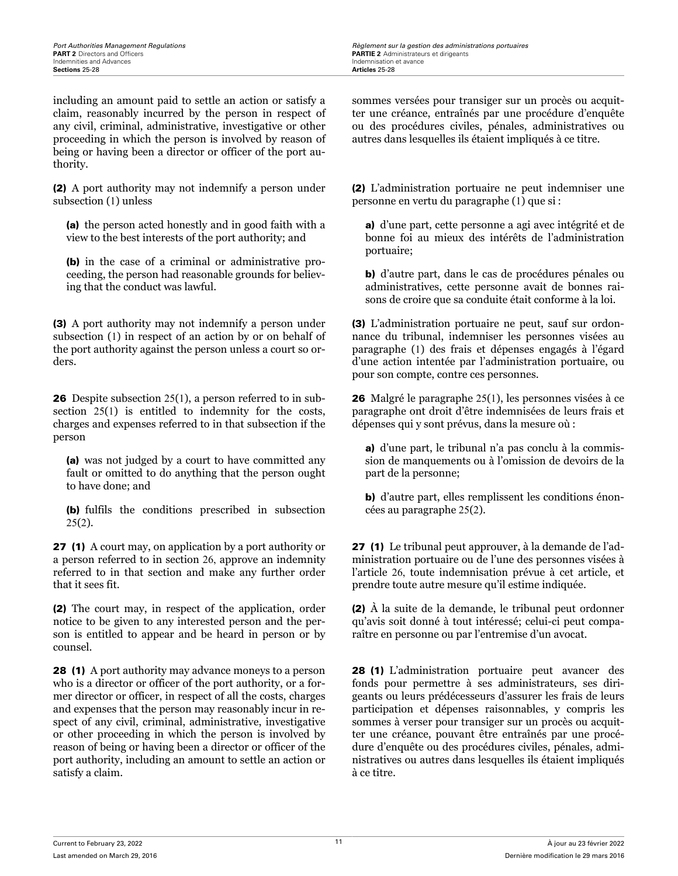including an amount paid to settle an action or satisfy a claim, reasonably incurred by the person in respect of any civil, criminal, administrative, investigative or other proceeding in which the person is involved by reason of being or having been a director or officer of the port authority.

(2) A port authority may not indemnify a person under subsection (1) unless

(a) the person acted honestly and in good faith with a view to the best interests of the port authority; and

(b) in the case of a criminal or administrative proceeding, the person had reasonable grounds for believing that the conduct was lawful.

(3) A port authority may not indemnify a person under subsection (1) in respect of an action by or on behalf of the port authority against the person unless a court so orders.

26 Despite subsection 25(1), a person referred to in subsection 25(1) is entitled to indemnity for the costs, charges and expenses referred to in that subsection if the person

(a) was not judged by a court to have committed any fault or omitted to do anything that the person ought to have done; and

(b) fulfils the conditions prescribed in subsection  $25(2)$ .

27 (1) A court may, on application by a port authority or a person referred to in section 26, approve an indemnity referred to in that section and make any further order that it sees fit.

(2) The court may, in respect of the application, order notice to be given to any interested person and the person is entitled to appear and be heard in person or by counsel.

28 (1) A port authority may advance moneys to a person who is a director or officer of the port authority, or a former director or officer, in respect of all the costs, charges and expenses that the person may reasonably incur in respect of any civil, criminal, administrative, investigative or other proceeding in which the person is involved by reason of being or having been a director or officer of the port authority, including an amount to settle an action or satisfy a claim.

sommes versées pour transiger sur un procès ou acquitter une créance, entraînés par une procédure d'enquête ou des procédures civiles, pénales, administratives ou autres dans lesquelles ils étaient impliqués à ce titre.

(2) L'administration portuaire ne peut indemniser une personne en vertu du paragraphe (1) que si :

a) d'une part, cette personne a agi avec intégrité et de bonne foi au mieux des intérêts de l'administration portuaire;

b) d'autre part, dans le cas de procédures pénales ou administratives, cette personne avait de bonnes raisons de croire que sa conduite était conforme à la loi.

(3) L'administration portuaire ne peut, sauf sur ordonnance du tribunal, indemniser les personnes visées au paragraphe (1) des frais et dépenses engagés à l'égard d'une action intentée par l'administration portuaire, ou pour son compte, contre ces personnes.

26 Malgré le paragraphe 25(1), les personnes visées à ce paragraphe ont droit d'être indemnisées de leurs frais et dépenses qui y sont prévus, dans la mesure où :

a) d'une part, le tribunal n'a pas conclu à la commission de manquements ou à l'omission de devoirs de la part de la personne;

b) d'autre part, elles remplissent les conditions énoncées au paragraphe 25(2).

27 (1) Le tribunal peut approuver, à la demande de l'administration portuaire ou de l'une des personnes visées à l'article 26, toute indemnisation prévue à cet article, et prendre toute autre mesure qu'il estime indiquée.

(2) À la suite de la demande, le tribunal peut ordonner qu'avis soit donné à tout intéressé; celui-ci peut comparaître en personne ou par l'entremise d'un avocat.

28 (1) L'administration portuaire peut avancer des fonds pour permettre à ses administrateurs, ses dirigeants ou leurs prédécesseurs d'assurer les frais de leurs participation et dépenses raisonnables, y compris les sommes à verser pour transiger sur un procès ou acquitter une créance, pouvant être entraînés par une procédure d'enquête ou des procédures civiles, pénales, administratives ou autres dans lesquelles ils étaient impliqués à ce titre.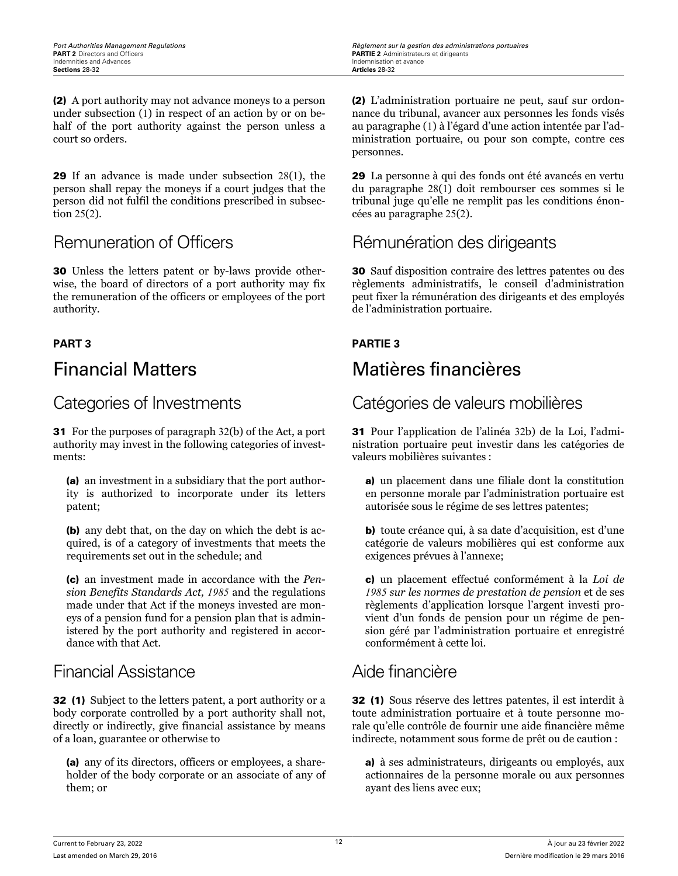(2) A port authority may not advance moneys to a person under subsection (1) in respect of an action by or on behalf of the port authority against the person unless a court so orders.

29 If an advance is made under subsection 28(1), the person shall repay the moneys if a court judges that the person did not fulfil the conditions prescribed in subsection 25(2).

30 Unless the letters patent or by-laws provide otherwise, the board of directors of a port authority may fix the remuneration of the officers or employees of the port authority.

31 For the purposes of paragraph 32(b) of the Act, a port authority may invest in the following categories of investments:

(a) an investment in a subsidiary that the port authority is authorized to incorporate under its letters patent;

(b) any debt that, on the day on which the debt is acquired, is of a category of investments that meets the requirements set out in the schedule; and

(c) an investment made in accordance with the *Pension Benefits Standards Act, 1985* and the regulations made under that Act if the moneys invested are moneys of a pension fund for a pension plan that is administered by the port authority and registered in accordance with that Act.

## Financial Assistance **Aide financière**

32 (1) Subject to the letters patent, a port authority or a body corporate controlled by a port authority shall not, directly or indirectly, give financial assistance by means of a loan, guarantee or otherwise to

(a) any of its directors, officers or employees, a shareholder of the body corporate or an associate of any of them; or

(2) L'administration portuaire ne peut, sauf sur ordonnance du tribunal, avancer aux personnes les fonds visés au paragraphe (1) à l'égard d'une action intentée par l'administration portuaire, ou pour son compte, contre ces personnes.

29 La personne à qui des fonds ont été avancés en vertu du paragraphe 28(1) doit rembourser ces sommes si le tribunal juge qu'elle ne remplit pas les conditions énoncées au paragraphe 25(2).

# Remuneration of Officers **Rémunération des dirigeants**

30 Sauf disposition contraire des lettres patentes ou des règlements administratifs, le conseil d'administration peut fixer la rémunération des dirigeants et des employés de l'administration portuaire.

### **PART 3 PARTIE 3**

# Financial Matters Matières financières

# Categories of Investments Catégories de valeurs mobilières

31 Pour l'application de l'alinéa 32b) de la Loi, l'administration portuaire peut investir dans les catégories de valeurs mobilières suivantes :

a) un placement dans une filiale dont la constitution en personne morale par l'administration portuaire est autorisée sous le régime de ses lettres patentes;

b) toute créance qui, à sa date d'acquisition, est d'une catégorie de valeurs mobilières qui est conforme aux exigences prévues à l'annexe;

c) un placement effectué conformément à la *Loi de 1985 sur les normes de prestation de pension* et de ses règlements d'application lorsque l'argent investi provient d'un fonds de pension pour un régime de pension géré par l'administration portuaire et enregistré conformément à cette loi.

32 (1) Sous réserve des lettres patentes, il est interdit à toute administration portuaire et à toute personne morale qu'elle contrôle de fournir une aide financière même indirecte, notamment sous forme de prêt ou de caution :

a) à ses administrateurs, dirigeants ou employés, aux actionnaires de la personne morale ou aux personnes ayant des liens avec eux;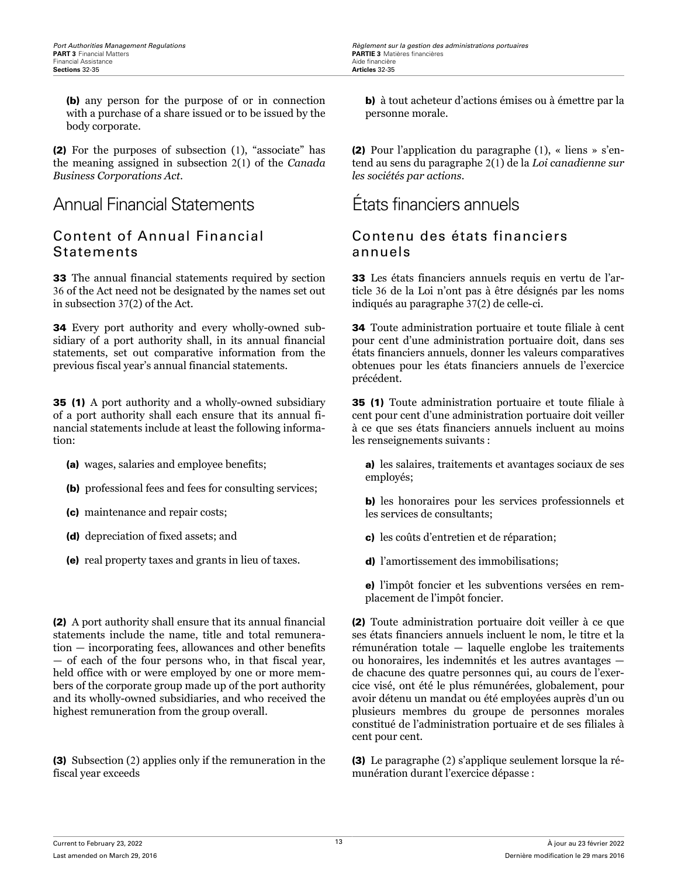(b) any person for the purpose of or in connection with a purchase of a share issued or to be issued by the body corporate.

(2) For the purposes of subsection (1), "associate" has the meaning assigned in subsection 2(1) of the *Canada Business Corporations Act*.

Annual Financial Statements États financiers annuels

### Content of Annual Financial **Statements**

33 The annual financial statements required by section 36 of the Act need not be designated by the names set out in subsection 37(2) of the Act.

34 Every port authority and every wholly-owned subsidiary of a port authority shall, in its annual financial statements, set out comparative information from the previous fiscal year's annual financial statements.

35 (1) A port authority and a wholly-owned subsidiary of a port authority shall each ensure that its annual financial statements include at least the following information:

- (a) wages, salaries and employee benefits;
- (b) professional fees and fees for consulting services;
- (c) maintenance and repair costs;
- (d) depreciation of fixed assets; and
- (e) real property taxes and grants in lieu of taxes.

(2) A port authority shall ensure that its annual financial statements include the name, title and total remuneration — incorporating fees, allowances and other benefits — of each of the four persons who, in that fiscal year, held office with or were employed by one or more members of the corporate group made up of the port authority and its wholly-owned subsidiaries, and who received the highest remuneration from the group overall.

(3) Subsection (2) applies only if the remuneration in the fiscal year exceeds

b) à tout acheteur d'actions émises ou à émettre par la personne morale.

(2) Pour l'application du paragraphe (1), « liens » s'entend au sens du paragraphe 2(1) de la *Loi canadienne sur les sociétés par actions*.

### Contenu des états financiers annuels

33 Les états financiers annuels requis en vertu de l'article 36 de la Loi n'ont pas à être désignés par les noms indiqués au paragraphe 37(2) de celle-ci.

34 Toute administration portuaire et toute filiale à cent pour cent d'une administration portuaire doit, dans ses états financiers annuels, donner les valeurs comparatives obtenues pour les états financiers annuels de l'exercice précédent.

35 (1) Toute administration portuaire et toute filiale à cent pour cent d'une administration portuaire doit veiller à ce que ses états financiers annuels incluent au moins les renseignements suivants :

a) les salaires, traitements et avantages sociaux de ses employés;

b) les honoraires pour les services professionnels et les services de consultants;

- c) les coûts d'entretien et de réparation;
- d) l'amortissement des immobilisations;

e) l'impôt foncier et les subventions versées en remplacement de l'impôt foncier.

(2) Toute administration portuaire doit veiller à ce que ses états financiers annuels incluent le nom, le titre et la rémunération totale — laquelle englobe les traitements ou honoraires, les indemnités et les autres avantages de chacune des quatre personnes qui, au cours de l'exercice visé, ont été le plus rémunérées, globalement, pour avoir détenu un mandat ou été employées auprès d'un ou plusieurs membres du groupe de personnes morales constitué de l'administration portuaire et de ses filiales à cent pour cent.

(3) Le paragraphe (2) s'applique seulement lorsque la rémunération durant l'exercice dépasse :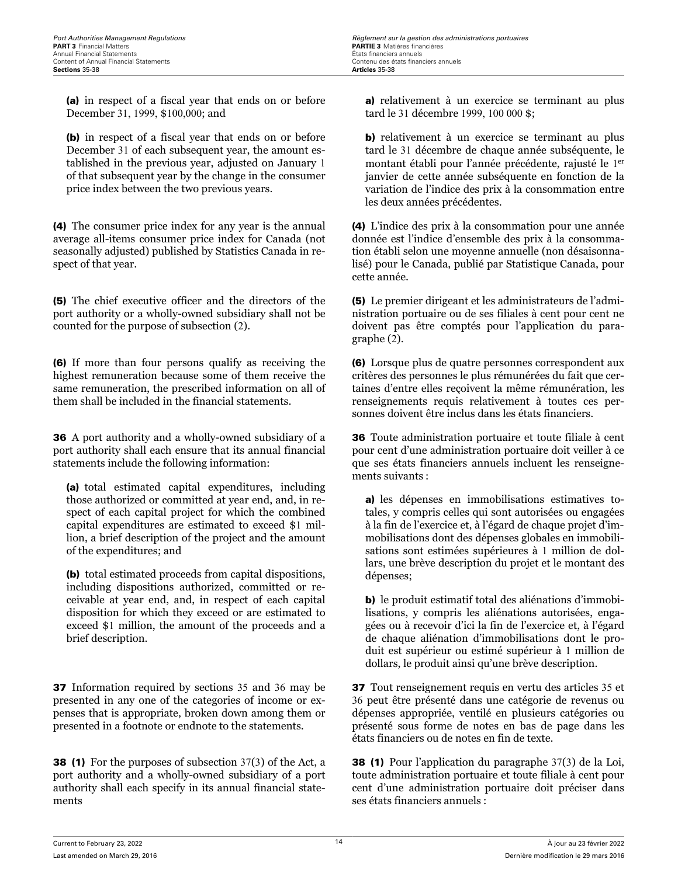(a) in respect of a fiscal year that ends on or before December 31, 1999, \$100,000; and

(b) in respect of a fiscal year that ends on or before December 31 of each subsequent year, the amount established in the previous year, adjusted on January 1 of that subsequent year by the change in the consumer price index between the two previous years.

(4) The consumer price index for any year is the annual average all-items consumer price index for Canada (not seasonally adjusted) published by Statistics Canada in respect of that year.

(5) The chief executive officer and the directors of the port authority or a wholly-owned subsidiary shall not be counted for the purpose of subsection (2).

(6) If more than four persons qualify as receiving the highest remuneration because some of them receive the same remuneration, the prescribed information on all of them shall be included in the financial statements.

36 A port authority and a wholly-owned subsidiary of a port authority shall each ensure that its annual financial statements include the following information:

(a) total estimated capital expenditures, including those authorized or committed at year end, and, in respect of each capital project for which the combined capital expenditures are estimated to exceed \$1 million, a brief description of the project and the amount of the expenditures; and

(b) total estimated proceeds from capital dispositions, including dispositions authorized, committed or receivable at year end, and, in respect of each capital disposition for which they exceed or are estimated to exceed \$1 million, the amount of the proceeds and a brief description.

37 Information required by sections 35 and 36 may be presented in any one of the categories of income or expenses that is appropriate, broken down among them or presented in a footnote or endnote to the statements.

38 (1) For the purposes of subsection 37(3) of the Act, a port authority and a wholly-owned subsidiary of a port authority shall each specify in its annual financial statements

a) relativement à un exercice se terminant au plus tard le 31 décembre 1999, 100 000 \$;

b) relativement à un exercice se terminant au plus tard le 31 décembre de chaque année subséquente, le montant établi pour l'année précédente, rajusté le 1 er janvier de cette année subséquente en fonction de la variation de l'indice des prix à la consommation entre les deux années précédentes.

(4) L'indice des prix à la consommation pour une année donnée est l'indice d'ensemble des prix à la consommation établi selon une moyenne annuelle (non désaisonnalisé) pour le Canada, publié par Statistique Canada, pour cette année.

(5) Le premier dirigeant et les administrateurs de l'administration portuaire ou de ses filiales à cent pour cent ne doivent pas être comptés pour l'application du paragraphe (2).

(6) Lorsque plus de quatre personnes correspondent aux critères des personnes le plus rémunérées du fait que certaines d'entre elles reçoivent la même rémunération, les renseignements requis relativement à toutes ces personnes doivent être inclus dans les états financiers.

36 Toute administration portuaire et toute filiale à cent pour cent d'une administration portuaire doit veiller à ce que ses états financiers annuels incluent les renseignements suivants :

a) les dépenses en immobilisations estimatives totales, y compris celles qui sont autorisées ou engagées à la fin de l'exercice et, à l'égard de chaque projet d'immobilisations dont des dépenses globales en immobilisations sont estimées supérieures à 1 million de dollars, une brève description du projet et le montant des dépenses;

b) le produit estimatif total des aliénations d'immobilisations, y compris les aliénations autorisées, engagées ou à recevoir d'ici la fin de l'exercice et, à l'égard de chaque aliénation d'immobilisations dont le produit est supérieur ou estimé supérieur à 1 million de dollars, le produit ainsi qu'une brève description.

37 Tout renseignement requis en vertu des articles 35 et 36 peut être présenté dans une catégorie de revenus ou dépenses appropriée, ventilé en plusieurs catégories ou présenté sous forme de notes en bas de page dans les états financiers ou de notes en fin de texte.

38 (1) Pour l'application du paragraphe 37(3) de la Loi, toute administration portuaire et toute filiale à cent pour cent d'une administration portuaire doit préciser dans ses états financiers annuels :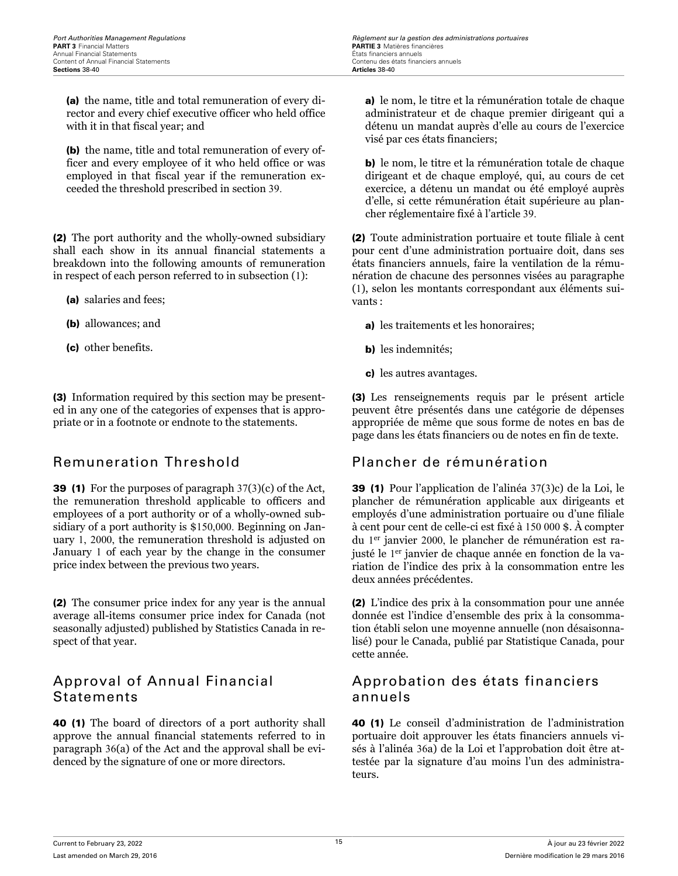(a) the name, title and total remuneration of every director and every chief executive officer who held office with it in that fiscal year; and

(b) the name, title and total remuneration of every officer and every employee of it who held office or was employed in that fiscal year if the remuneration exceeded the threshold prescribed in section 39.

(2) The port authority and the wholly-owned subsidiary shall each show in its annual financial statements a breakdown into the following amounts of remuneration in respect of each person referred to in subsection (1):

- (a) salaries and fees;
- (b) allowances; and
- (c) other benefits.

(3) Information required by this section may be presented in any one of the categories of expenses that is appropriate or in a footnote or endnote to the statements.

39 (1) For the purposes of paragraph 37(3)(c) of the Act, the remuneration threshold applicable to officers and employees of a port authority or of a wholly-owned subsidiary of a port authority is \$150,000. Beginning on January 1, 2000, the remuneration threshold is adjusted on January 1 of each year by the change in the consumer price index between the previous two years.

(2) The consumer price index for any year is the annual average all-items consumer price index for Canada (not seasonally adjusted) published by Statistics Canada in respect of that year.

### Approval of Annual Financial Statements

40 (1) The board of directors of a port authority shall approve the annual financial statements referred to in paragraph 36(a) of the Act and the approval shall be evidenced by the signature of one or more directors.

a) le nom, le titre et la rémunération totale de chaque administrateur et de chaque premier dirigeant qui a détenu un mandat auprès d'elle au cours de l'exercice visé par ces états financiers;

b) le nom, le titre et la rémunération totale de chaque dirigeant et de chaque employé, qui, au cours de cet exercice, a détenu un mandat ou été employé auprès d'elle, si cette rémunération était supérieure au plancher réglementaire fixé à l'article 39.

(2) Toute administration portuaire et toute filiale à cent pour cent d'une administration portuaire doit, dans ses états financiers annuels, faire la ventilation de la rémunération de chacune des personnes visées au paragraphe (1), selon les montants correspondant aux éléments suivants :

a) les traitements et les honoraires;

- b) les indemnités;
- c) les autres avantages.

(3) Les renseignements requis par le présent article peuvent être présentés dans une catégorie de dépenses appropriée de même que sous forme de notes en bas de page dans les états financiers ou de notes en fin de texte.

### Remuneration Threshold Plancher de rémunération

39 (1) Pour l'application de l'alinéa 37(3)c) de la Loi, le plancher de rémunération applicable aux dirigeants et employés d'une administration portuaire ou d'une filiale à cent pour cent de celle-ci est fixé à 150 000 \$. À compter du 1 er janvier 2000, le plancher de rémunération est rajusté le 1<sup>er</sup> janvier de chaque année en fonction de la variation de l'indice des prix à la consommation entre les deux années précédentes.

(2) L'indice des prix à la consommation pour une année donnée est l'indice d'ensemble des prix à la consommation établi selon une moyenne annuelle (non désaisonnalisé) pour le Canada, publié par Statistique Canada, pour cette année.

### Approbation des états financiers annuels

40 (1) Le conseil d'administration de l'administration portuaire doit approuver les états financiers annuels visés à l'alinéa 36a) de la Loi et l'approbation doit être attestée par la signature d'au moins l'un des administrateurs.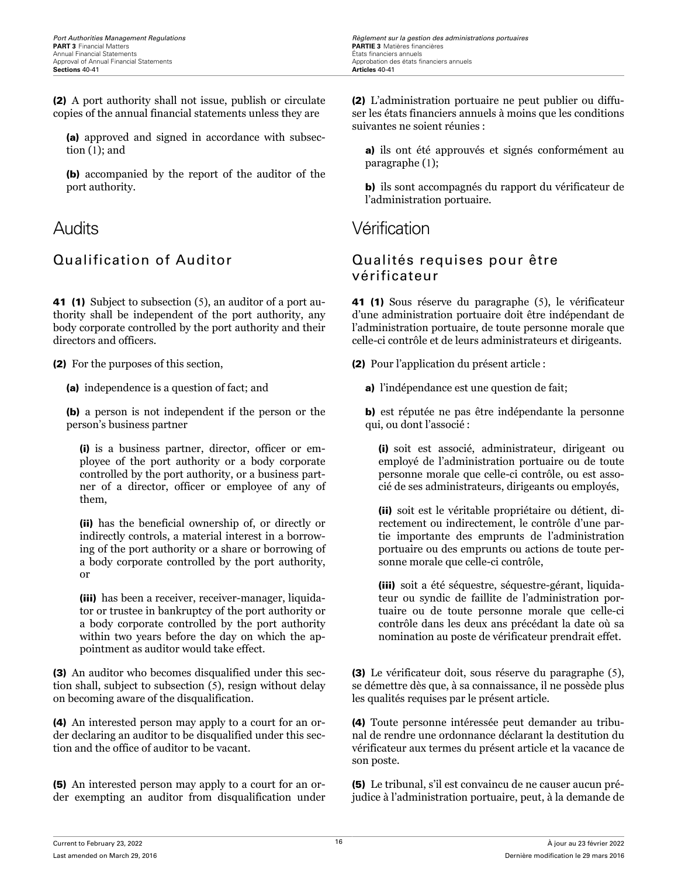*Port Authorities Management Regulations Règlement sur la gestion des administrations portuaires* **PARTIE 3** Matières financières<br>États financiers annuels Approbation des états financiers annuels<br>Articles 40-41

(2) A port authority shall not issue, publish or circulate copies of the annual financial statements unless they are

(a) approved and signed in accordance with subsection (1); and

(b) accompanied by the report of the auditor of the port authority.

41 (1) Subject to subsection (5), an auditor of a port authority shall be independent of the port authority, any body corporate controlled by the port authority and their directors and officers.

(2) For the purposes of this section,

(a) independence is a question of fact; and

(b) a person is not independent if the person or the person's business partner

(i) is a business partner, director, officer or employee of the port authority or a body corporate controlled by the port authority, or a business partner of a director, officer or employee of any of them,

(ii) has the beneficial ownership of, or directly or indirectly controls, a material interest in a borrowing of the port authority or a share or borrowing of a body corporate controlled by the port authority, or

(iii) has been a receiver, receiver-manager, liquidator or trustee in bankruptcy of the port authority or a body corporate controlled by the port authority within two years before the day on which the appointment as auditor would take effect.

(3) An auditor who becomes disqualified under this section shall, subject to subsection (5), resign without delay on becoming aware of the disqualification.

(4) An interested person may apply to a court for an order declaring an auditor to be disqualified under this section and the office of auditor to be vacant.

(5) An interested person may apply to a court for an order exempting an auditor from disqualification under (2) L'administration portuaire ne peut publier ou diffuser les états financiers annuels à moins que les conditions suivantes ne soient réunies :

a) ils ont été approuvés et signés conformément au paragraphe (1);

b) ils sont accompagnés du rapport du vérificateur de l'administration portuaire.

Audits Vérification

### Qualification of Auditor Qualités requises pour être vérificateur

41 (1) Sous réserve du paragraphe (5), le vérificateur d'une administration portuaire doit être indépendant de l'administration portuaire, de toute personne morale que celle-ci contrôle et de leurs administrateurs et dirigeants.

(2) Pour l'application du présent article :

a) l'indépendance est une question de fait;

b) est réputée ne pas être indépendante la personne qui, ou dont l'associé :

(i) soit est associé, administrateur, dirigeant ou employé de l'administration portuaire ou de toute personne morale que celle-ci contrôle, ou est associé de ses administrateurs, dirigeants ou employés,

(ii) soit est le véritable propriétaire ou détient, directement ou indirectement, le contrôle d'une partie importante des emprunts de l'administration portuaire ou des emprunts ou actions de toute personne morale que celle-ci contrôle,

(iii) soit a été séquestre, séquestre-gérant, liquidateur ou syndic de faillite de l'administration portuaire ou de toute personne morale que celle-ci contrôle dans les deux ans précédant la date où sa nomination au poste de vérificateur prendrait effet.

(3) Le vérificateur doit, sous réserve du paragraphe (5), se démettre dès que, à sa connaissance, il ne possède plus les qualités requises par le présent article.

(4) Toute personne intéressée peut demander au tribunal de rendre une ordonnance déclarant la destitution du vérificateur aux termes du présent article et la vacance de son poste.

(5) Le tribunal, s'il est convaincu de ne causer aucun préjudice à l'administration portuaire, peut, à la demande de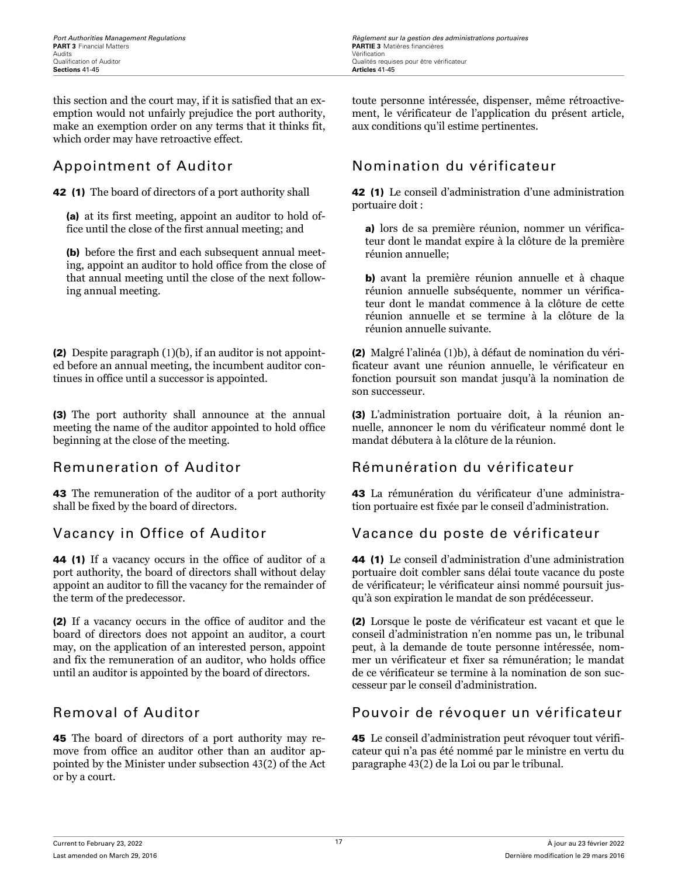this section and the court may, if it is satisfied that an exemption would not unfairly prejudice the port authority, make an exemption order on any terms that it thinks fit, which order may have retroactive effect.

42 (1) The board of directors of a port authority shall

(a) at its first meeting, appoint an auditor to hold office until the close of the first annual meeting; and

(b) before the first and each subsequent annual meeting, appoint an auditor to hold office from the close of that annual meeting until the close of the next following annual meeting.

(2) Despite paragraph (1)(b), if an auditor is not appointed before an annual meeting, the incumbent auditor continues in office until a successor is appointed.

(3) The port authority shall announce at the annual meeting the name of the auditor appointed to hold office beginning at the close of the meeting.

43 The remuneration of the auditor of a port authority shall be fixed by the board of directors.

44 (1) If a vacancy occurs in the office of auditor of a port authority, the board of directors shall without delay appoint an auditor to fill the vacancy for the remainder of the term of the predecessor.

(2) If a vacancy occurs in the office of auditor and the board of directors does not appoint an auditor, a court may, on the application of an interested person, appoint and fix the remuneration of an auditor, who holds office until an auditor is appointed by the board of directors.

45 The board of directors of a port authority may remove from office an auditor other than an auditor appointed by the Minister under subsection 43(2) of the Act or by a court.

*Port Authorities Management Regulations Règlement sur la gestion des administrations portuaires*

toute personne intéressée, dispenser, même rétroactivement, le vérificateur de l'application du présent article, aux conditions qu'il estime pertinentes.

### Appointment of Auditor Nomination du vérificateur

42 (1) Le conseil d'administration d'une administration portuaire doit :

a) lors de sa première réunion, nommer un vérificateur dont le mandat expire à la clôture de la première réunion annuelle;

b) avant la première réunion annuelle et à chaque réunion annuelle subséquente, nommer un vérificateur dont le mandat commence à la clôture de cette réunion annuelle et se termine à la clôture de la réunion annuelle suivante.

(2) Malgré l'alinéa (1)b), à défaut de nomination du vérificateur avant une réunion annuelle, le vérificateur en fonction poursuit son mandat jusqu'à la nomination de son successeur.

(3) L'administration portuaire doit, à la réunion annuelle, annoncer le nom du vérificateur nommé dont le mandat débutera à la clôture de la réunion.

### Remuneration of Auditor Rémunération du vérificateur

43 La rémunération du vérificateur d'une administration portuaire est fixée par le conseil d'administration.

### Vacancy in Office of Auditor Vacance du poste de vérificateur

44 (1) Le conseil d'administration d'une administration portuaire doit combler sans délai toute vacance du poste de vérificateur; le vérificateur ainsi nommé poursuit jusqu'à son expiration le mandat de son prédécesseur.

(2) Lorsque le poste de vérificateur est vacant et que le conseil d'administration n'en nomme pas un, le tribunal peut, à la demande de toute personne intéressée, nommer un vérificateur et fixer sa rémunération; le mandat de ce vérificateur se termine à la nomination de son successeur par le conseil d'administration.

### Removal of Auditor **Pouvoir de révoquer un vérificateur**

45 Le conseil d'administration peut révoquer tout vérificateur qui n'a pas été nommé par le ministre en vertu du paragraphe 43(2) de la Loi ou par le tribunal.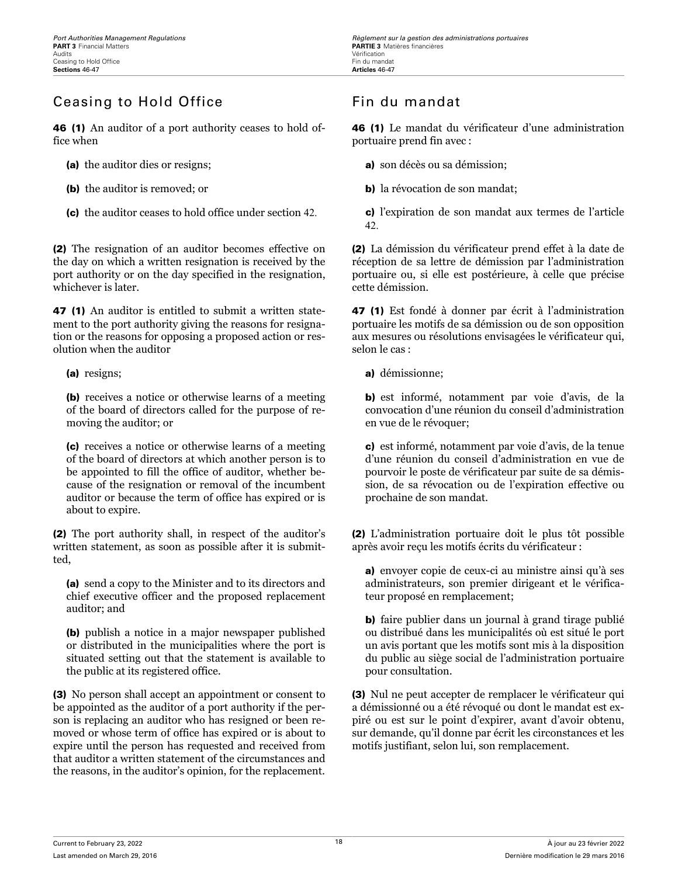# Ceasing to Hold Office **Film** Fin du mandat

46 (1) An auditor of a port authority ceases to hold office when

- (a) the auditor dies or resigns;
- (b) the auditor is removed; or
- (c) the auditor ceases to hold office under section 42.

(2) The resignation of an auditor becomes effective on the day on which a written resignation is received by the port authority or on the day specified in the resignation, whichever is later.

47 (1) An auditor is entitled to submit a written statement to the port authority giving the reasons for resignation or the reasons for opposing a proposed action or resolution when the auditor

(a) resigns;

(b) receives a notice or otherwise learns of a meeting of the board of directors called for the purpose of removing the auditor; or

(c) receives a notice or otherwise learns of a meeting of the board of directors at which another person is to be appointed to fill the office of auditor, whether because of the resignation or removal of the incumbent auditor or because the term of office has expired or is about to expire.

(2) The port authority shall, in respect of the auditor's written statement, as soon as possible after it is submitted,

(a) send a copy to the Minister and to its directors and chief executive officer and the proposed replacement auditor; and

(b) publish a notice in a major newspaper published or distributed in the municipalities where the port is situated setting out that the statement is available to the public at its registered office.

(3) No person shall accept an appointment or consent to be appointed as the auditor of a port authority if the person is replacing an auditor who has resigned or been removed or whose term of office has expired or is about to expire until the person has requested and received from that auditor a written statement of the circumstances and the reasons, in the auditor's opinion, for the replacement.

46 (1) Le mandat du vérificateur d'une administration portuaire prend fin avec :

a) son décès ou sa démission;

b) la révocation de son mandat;

c) l'expiration de son mandat aux termes de l'article 42.

(2) La démission du vérificateur prend effet à la date de réception de sa lettre de démission par l'administration portuaire ou, si elle est postérieure, à celle que précise cette démission.

47 (1) Est fondé à donner par écrit à l'administration portuaire les motifs de sa démission ou de son opposition aux mesures ou résolutions envisagées le vérificateur qui, selon le cas :

a) démissionne;

b) est informé, notamment par voie d'avis, de la convocation d'une réunion du conseil d'administration en vue de le révoquer;

c) est informé, notamment par voie d'avis, de la tenue d'une réunion du conseil d'administration en vue de pourvoir le poste de vérificateur par suite de sa démission, de sa révocation ou de l'expiration effective ou prochaine de son mandat.

(2) L'administration portuaire doit le plus tôt possible après avoir reçu les motifs écrits du vérificateur :

a) envoyer copie de ceux-ci au ministre ainsi qu'à ses administrateurs, son premier dirigeant et le vérificateur proposé en remplacement;

b) faire publier dans un journal à grand tirage publié ou distribué dans les municipalités où est situé le port un avis portant que les motifs sont mis à la disposition du public au siège social de l'administration portuaire pour consultation.

(3) Nul ne peut accepter de remplacer le vérificateur qui a démissionné ou a été révoqué ou dont le mandat est expiré ou est sur le point d'expirer, avant d'avoir obtenu, sur demande, qu'il donne par écrit les circonstances et les motifs justifiant, selon lui, son remplacement.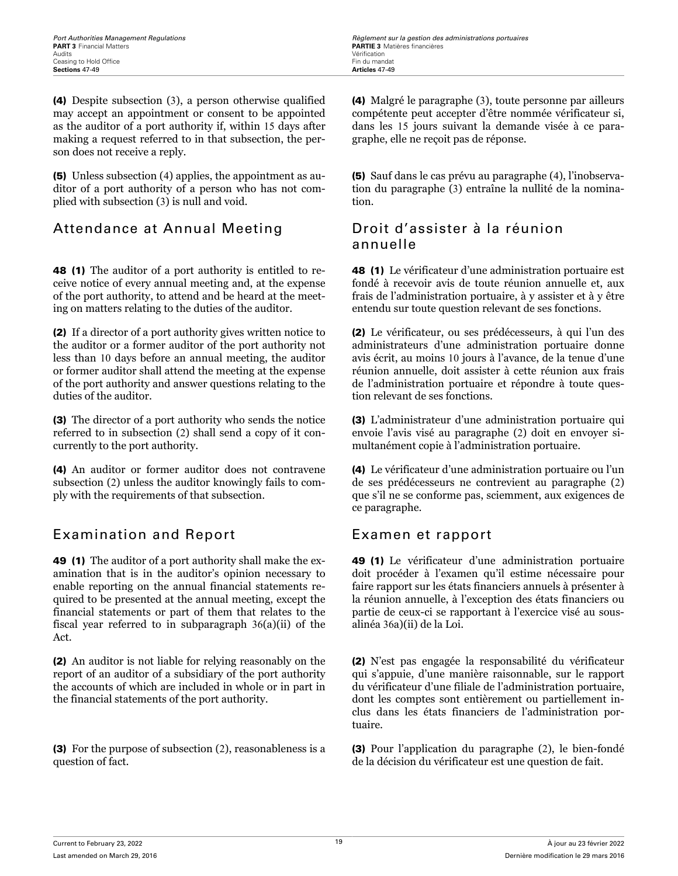(4) Despite subsection (3), a person otherwise qualified may accept an appointment or consent to be appointed as the auditor of a port authority if, within 15 days after making a request referred to in that subsection, the person does not receive a reply.

(5) Unless subsection (4) applies, the appointment as auditor of a port authority of a person who has not complied with subsection (3) is null and void.

### Attendance at Annual Meeting Droit d'assister à la réunion

48 (1) The auditor of a port authority is entitled to receive notice of every annual meeting and, at the expense of the port authority, to attend and be heard at the meeting on matters relating to the duties of the auditor.

(2) If a director of a port authority gives written notice to the auditor or a former auditor of the port authority not less than 10 days before an annual meeting, the auditor or former auditor shall attend the meeting at the expense of the port authority and answer questions relating to the duties of the auditor.

(3) The director of a port authority who sends the notice referred to in subsection (2) shall send a copy of it concurrently to the port authority.

(4) An auditor or former auditor does not contravene subsection (2) unless the auditor knowingly fails to comply with the requirements of that subsection.

### Examination and Report Examen et rapport

49 (1) The auditor of a port authority shall make the examination that is in the auditor's opinion necessary to enable reporting on the annual financial statements required to be presented at the annual meeting, except the financial statements or part of them that relates to the fiscal year referred to in subparagraph 36(a)(ii) of the Act.

(2) An auditor is not liable for relying reasonably on the report of an auditor of a subsidiary of the port authority the accounts of which are included in whole or in part in the financial statements of the port authority.

(3) For the purpose of subsection (2), reasonableness is a question of fact.

(4) Malgré le paragraphe (3), toute personne par ailleurs compétente peut accepter d'être nommée vérificateur si, dans les 15 jours suivant la demande visée à ce paragraphe, elle ne reçoit pas de réponse.

(5) Sauf dans le cas prévu au paragraphe (4), l'inobservation du paragraphe (3) entraîne la nullité de la nomination.

# annuelle

48 (1) Le vérificateur d'une administration portuaire est fondé à recevoir avis de toute réunion annuelle et, aux frais de l'administration portuaire, à y assister et à y être entendu sur toute question relevant de ses fonctions.

(2) Le vérificateur, ou ses prédécesseurs, à qui l'un des administrateurs d'une administration portuaire donne avis écrit, au moins 10 jours à l'avance, de la tenue d'une réunion annuelle, doit assister à cette réunion aux frais de l'administration portuaire et répondre à toute question relevant de ses fonctions.

(3) L'administrateur d'une administration portuaire qui envoie l'avis visé au paragraphe (2) doit en envoyer simultanément copie à l'administration portuaire.

(4) Le vérificateur d'une administration portuaire ou l'un de ses prédécesseurs ne contrevient au paragraphe (2) que s'il ne se conforme pas, sciemment, aux exigences de ce paragraphe.

49 (1) Le vérificateur d'une administration portuaire doit procéder à l'examen qu'il estime nécessaire pour faire rapport sur les états financiers annuels à présenter à la réunion annuelle, à l'exception des états financiers ou partie de ceux-ci se rapportant à l'exercice visé au sousalinéa 36a)(ii) de la Loi.

(2) N'est pas engagée la responsabilité du vérificateur qui s'appuie, d'une manière raisonnable, sur le rapport du vérificateur d'une filiale de l'administration portuaire, dont les comptes sont entièrement ou partiellement inclus dans les états financiers de l'administration portuaire.

(3) Pour l'application du paragraphe (2), le bien-fondé de la décision du vérificateur est une question de fait.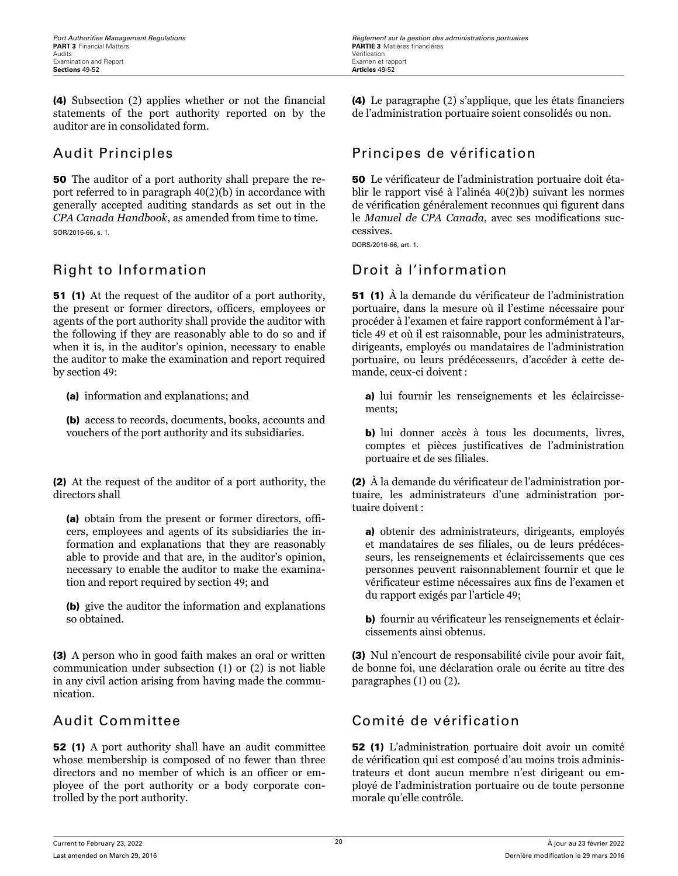(4) Subsection (2) applies whether or not the financial statements of the port authority reported on by the auditor are in consolidated form.

50 The auditor of a port authority shall prepare the report referred to in paragraph 40(2)(b) in accordance with generally accepted auditing standards as set out in the *CPA Canada Handbook*, as amended from time to time. SOR/2016-66, s. 1.

### Right to Information **Droit à l'information**

51 (1) At the request of the auditor of a port authority, the present or former directors, officers, employees or agents of the port authority shall provide the auditor with the following if they are reasonably able to do so and if when it is, in the auditor's opinion, necessary to enable the auditor to make the examination and report required by section 49:

(a) information and explanations; and

(b) access to records, documents, books, accounts and vouchers of the port authority and its subsidiaries.

(2) At the request of the auditor of a port authority, the directors shall

(a) obtain from the present or former directors, officers, employees and agents of its subsidiaries the information and explanations that they are reasonably able to provide and that are, in the auditor's opinion, necessary to enable the auditor to make the examination and report required by section 49; and

(b) give the auditor the information and explanations so obtained.

(3) A person who in good faith makes an oral or written communication under subsection (1) or (2) is not liable in any civil action arising from having made the communication.

52 (1) A port authority shall have an audit committee whose membership is composed of no fewer than three directors and no member of which is an officer or employee of the port authority or a body corporate controlled by the port authority.

(4) Le paragraphe (2) s'applique, que les états financiers de l'administration portuaire soient consolidés ou non.

# Audit Principles **Audit Principes** de vérification

50 Le vérificateur de l'administration portuaire doit établir le rapport visé à l'alinéa 40(2)b) suivant les normes de vérification généralement reconnues qui figurent dans le *Manuel de CPA Canada*, avec ses modifications successives.

DORS/2016-66, art. 1.

51 (1) À la demande du vérificateur de l'administration portuaire, dans la mesure où il l'estime nécessaire pour procéder à l'examen et faire rapport conformément à l'article 49 et où il est raisonnable, pour les administrateurs, dirigeants, employés ou mandataires de l'administration portuaire, ou leurs prédécesseurs, d'accéder à cette demande, ceux-ci doivent :

a) lui fournir les renseignements et les éclaircissements;

b) lui donner accès à tous les documents, livres, comptes et pièces justificatives de l'administration portuaire et de ses filiales.

(2) À la demande du vérificateur de l'administration portuaire, les administrateurs d'une administration portuaire doivent :

a) obtenir des administrateurs, dirigeants, employés et mandataires de ses filiales, ou de leurs prédécesseurs, les renseignements et éclaircissements que ces personnes peuvent raisonnablement fournir et que le vérificateur estime nécessaires aux fins de l'examen et du rapport exigés par l'article 49;

b) fournir au vérificateur les renseignements et éclaircissements ainsi obtenus.

(3) Nul n'encourt de responsabilité civile pour avoir fait, de bonne foi, une déclaration orale ou écrite au titre des paragraphes (1) ou (2).

### Audit Committee Comité de vérification

52 (1) L'administration portuaire doit avoir un comité de vérification qui est composé d'au moins trois administrateurs et dont aucun membre n'est dirigeant ou employé de l'administration portuaire ou de toute personne morale qu'elle contrôle.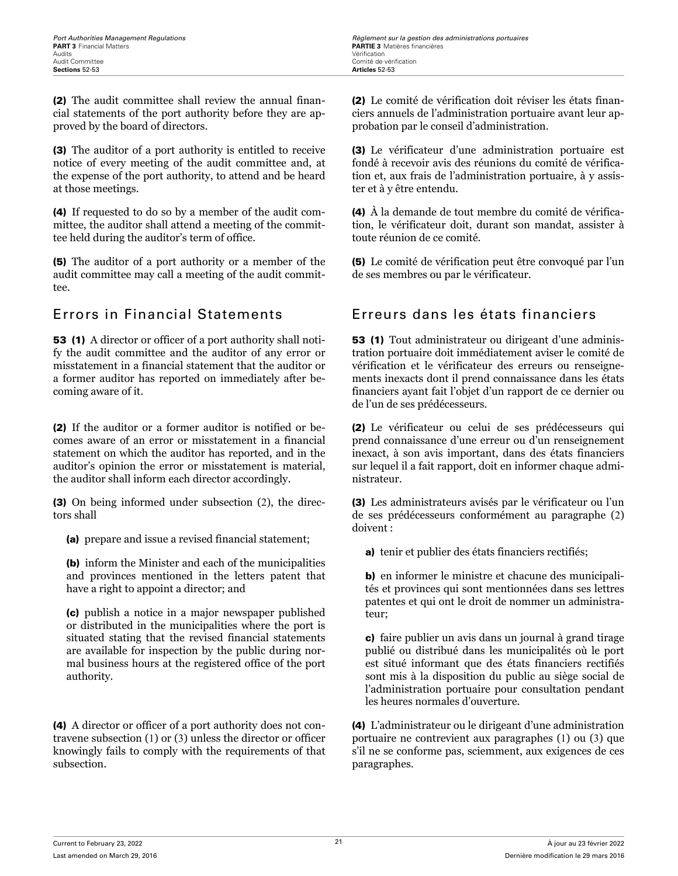(2) The audit committee shall review the annual financial statements of the port authority before they are approved by the board of directors.

(3) The auditor of a port authority is entitled to receive notice of every meeting of the audit committee and, at the expense of the port authority, to attend and be heard at those meetings.

(4) If requested to do so by a member of the audit committee, the auditor shall attend a meeting of the committee held during the auditor's term of office.

(5) The auditor of a port authority or a member of the audit committee may call a meeting of the audit committee.

53 (1) A director or officer of a port authority shall notify the audit committee and the auditor of any error or misstatement in a financial statement that the auditor or a former auditor has reported on immediately after becoming aware of it.

(2) If the auditor or a former auditor is notified or becomes aware of an error or misstatement in a financial statement on which the auditor has reported, and in the auditor's opinion the error or misstatement is material, the auditor shall inform each director accordingly.

(3) On being informed under subsection (2), the directors shall

(a) prepare and issue a revised financial statement;

(b) inform the Minister and each of the municipalities and provinces mentioned in the letters patent that have a right to appoint a director; and

(c) publish a notice in a major newspaper published or distributed in the municipalities where the port is situated stating that the revised financial statements are available for inspection by the public during normal business hours at the registered office of the port authority.

(4) A director or officer of a port authority does not contravene subsection (1) or (3) unless the director or officer knowingly fails to comply with the requirements of that subsection.

(2) Le comité de vérification doit réviser les états financiers annuels de l'administration portuaire avant leur approbation par le conseil d'administration.

(3) Le vérificateur d'une administration portuaire est fondé à recevoir avis des réunions du comité de vérification et, aux frais de l'administration portuaire, à y assister et à y être entendu.

(4) À la demande de tout membre du comité de vérification, le vérificateur doit, durant son mandat, assister à toute réunion de ce comité.

(5) Le comité de vérification peut être convoqué par l'un de ses membres ou par le vérificateur.

### Errors in Financial Statements Erreurs dans les états financiers

53 (1) Tout administrateur ou dirigeant d'une administration portuaire doit immédiatement aviser le comité de vérification et le vérificateur des erreurs ou renseignements inexacts dont il prend connaissance dans les états financiers ayant fait l'objet d'un rapport de ce dernier ou de l'un de ses prédécesseurs.

(2) Le vérificateur ou celui de ses prédécesseurs qui prend connaissance d'une erreur ou d'un renseignement inexact, à son avis important, dans des états financiers sur lequel il a fait rapport, doit en informer chaque administrateur.

(3) Les administrateurs avisés par le vérificateur ou l'un de ses prédécesseurs conformément au paragraphe (2) doivent :

a) tenir et publier des états financiers rectifiés;

b) en informer le ministre et chacune des municipalités et provinces qui sont mentionnées dans ses lettres patentes et qui ont le droit de nommer un administrateur;

c) faire publier un avis dans un journal à grand tirage publié ou distribué dans les municipalités où le port est situé informant que des états financiers rectifiés sont mis à la disposition du public au siège social de l'administration portuaire pour consultation pendant les heures normales d'ouverture.

(4) L'administrateur ou le dirigeant d'une administration portuaire ne contrevient aux paragraphes (1) ou (3) que s'il ne se conforme pas, sciemment, aux exigences de ces paragraphes.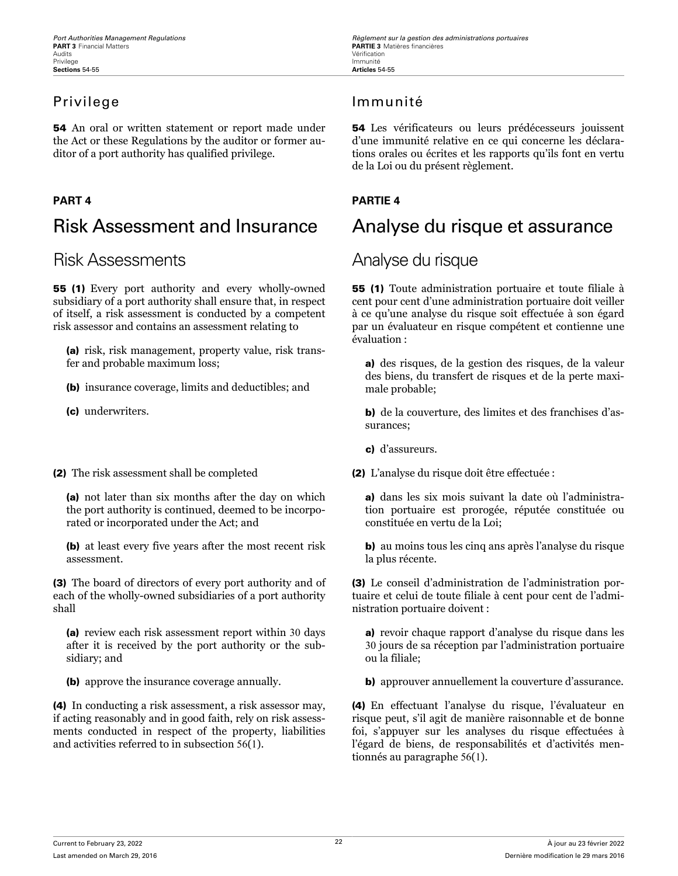54 An oral or written statement or report made under the Act or these Regulations by the auditor or former auditor of a port authority has qualified privilege.

# Risk Assessment and Insurance Analyse du risque et assurance

## Risk Assessments Analyse du risque

55 (1) Every port authority and every wholly-owned subsidiary of a port authority shall ensure that, in respect of itself, a risk assessment is conducted by a competent risk assessor and contains an assessment relating to

(a) risk, risk management, property value, risk transfer and probable maximum loss;

(b) insurance coverage, limits and deductibles; and

(c) underwriters.

(2) The risk assessment shall be completed

(a) not later than six months after the day on which the port authority is continued, deemed to be incorporated or incorporated under the Act; and

(b) at least every five years after the most recent risk assessment.

(3) The board of directors of every port authority and of each of the wholly-owned subsidiaries of a port authority shall

(a) review each risk assessment report within 30 days after it is received by the port authority or the subsidiary; and

(b) approve the insurance coverage annually.

(4) In conducting a risk assessment, a risk assessor may, if acting reasonably and in good faith, rely on risk assessments conducted in respect of the property, liabilities and activities referred to in subsection 56(1).

### Privilege Immunité

54 Les vérificateurs ou leurs prédécesseurs jouissent d'une immunité relative en ce qui concerne les déclarations orales ou écrites et les rapports qu'ils font en vertu de la Loi ou du présent règlement.

### **PART 4 PARTIE 4**

55 (1) Toute administration portuaire et toute filiale à cent pour cent d'une administration portuaire doit veiller à ce qu'une analyse du risque soit effectuée à son égard par un évaluateur en risque compétent et contienne une évaluation :

a) des risques, de la gestion des risques, de la valeur des biens, du transfert de risques et de la perte maximale probable;

b) de la couverture, des limites et des franchises d'assurances;

c) d'assureurs.

(2) L'analyse du risque doit être effectuée :

a) dans les six mois suivant la date où l'administration portuaire est prorogée, réputée constituée ou constituée en vertu de la Loi;

b) au moins tous les cinq ans après l'analyse du risque la plus récente.

(3) Le conseil d'administration de l'administration portuaire et celui de toute filiale à cent pour cent de l'administration portuaire doivent :

a) revoir chaque rapport d'analyse du risque dans les 30 jours de sa réception par l'administration portuaire ou la filiale;

b) approuver annuellement la couverture d'assurance.

(4) En effectuant l'analyse du risque, l'évaluateur en risque peut, s'il agit de manière raisonnable et de bonne foi, s'appuyer sur les analyses du risque effectuées à l'égard de biens, de responsabilités et d'activités mentionnés au paragraphe 56(1).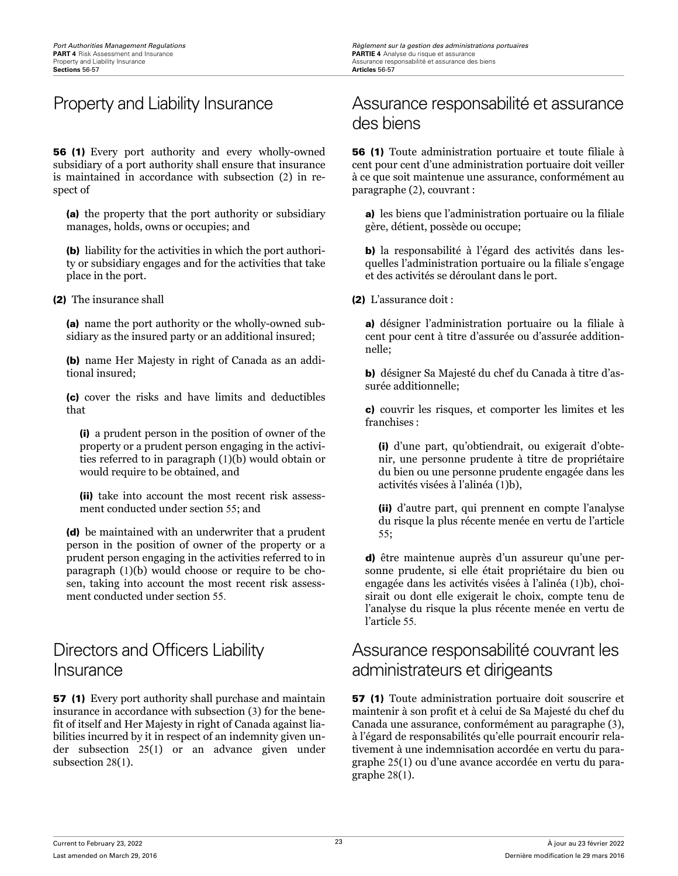56 (1) Every port authority and every wholly-owned subsidiary of a port authority shall ensure that insurance is maintained in accordance with subsection (2) in respect of

(a) the property that the port authority or subsidiary manages, holds, owns or occupies; and

(b) liability for the activities in which the port authority or subsidiary engages and for the activities that take place in the port.

(2) The insurance shall

(a) name the port authority or the wholly-owned subsidiary as the insured party or an additional insured;

(b) name Her Majesty in right of Canada as an additional insured;

(c) cover the risks and have limits and deductibles that

(i) a prudent person in the position of owner of the property or a prudent person engaging in the activities referred to in paragraph (1)(b) would obtain or would require to be obtained, and

(ii) take into account the most recent risk assessment conducted under section 55; and

(d) be maintained with an underwriter that a prudent person in the position of owner of the property or a prudent person engaging in the activities referred to in paragraph (1)(b) would choose or require to be chosen, taking into account the most recent risk assessment conducted under section 55.

# Directors and Officers Liability Insurance

57 (1) Every port authority shall purchase and maintain insurance in accordance with subsection (3) for the benefit of itself and Her Majesty in right of Canada against liabilities incurred by it in respect of an indemnity given under subsection 25(1) or an advance given under subsection 28(1).

# Property and Liability Insurance **Assurance responsabilité et assurance** des biens

56 (1) Toute administration portuaire et toute filiale à cent pour cent d'une administration portuaire doit veiller à ce que soit maintenue une assurance, conformément au paragraphe (2), couvrant :

a) les biens que l'administration portuaire ou la filiale gère, détient, possède ou occupe;

b) la responsabilité à l'égard des activités dans lesquelles l'administration portuaire ou la filiale s'engage et des activités se déroulant dans le port.

(2) L'assurance doit :

a) désigner l'administration portuaire ou la filiale à cent pour cent à titre d'assurée ou d'assurée additionnelle;

b) désigner Sa Majesté du chef du Canada à titre d'assurée additionnelle;

c) couvrir les risques, et comporter les limites et les franchises :

(i) d'une part, qu'obtiendrait, ou exigerait d'obtenir, une personne prudente à titre de propriétaire du bien ou une personne prudente engagée dans les activités visées à l'alinéa (1)b),

(ii) d'autre part, qui prennent en compte l'analyse du risque la plus récente menée en vertu de l'article 55;

d) être maintenue auprès d'un assureur qu'une personne prudente, si elle était propriétaire du bien ou engagée dans les activités visées à l'alinéa (1)b), choisirait ou dont elle exigerait le choix, compte tenu de l'analyse du risque la plus récente menée en vertu de l'article 55.

# Assurance responsabilité couvrant les administrateurs et dirigeants

57 (1) Toute administration portuaire doit souscrire et maintenir à son profit et à celui de Sa Majesté du chef du Canada une assurance, conformément au paragraphe (3), à l'égard de responsabilités qu'elle pourrait encourir relativement à une indemnisation accordée en vertu du paragraphe 25(1) ou d'une avance accordée en vertu du paragraphe 28(1).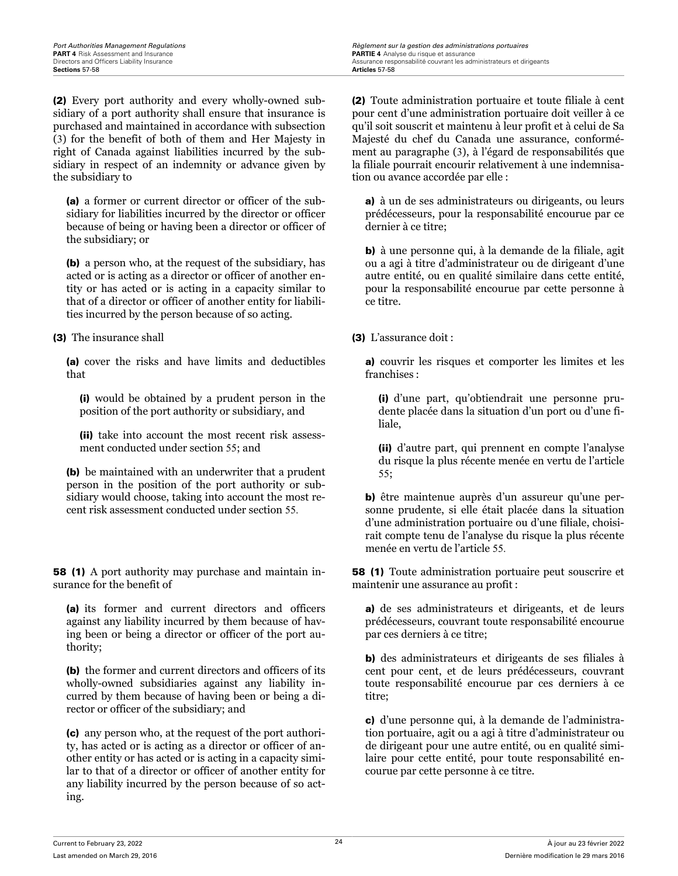(2) Every port authority and every wholly-owned subsidiary of a port authority shall ensure that insurance is purchased and maintained in accordance with subsection (3) for the benefit of both of them and Her Majesty in right of Canada against liabilities incurred by the subsidiary in respect of an indemnity or advance given by the subsidiary to

(a) a former or current director or officer of the subsidiary for liabilities incurred by the director or officer because of being or having been a director or officer of the subsidiary; or

(b) a person who, at the request of the subsidiary, has acted or is acting as a director or officer of another entity or has acted or is acting in a capacity similar to that of a director or officer of another entity for liabilities incurred by the person because of so acting.

### (3) The insurance shall

(a) cover the risks and have limits and deductibles that

(i) would be obtained by a prudent person in the position of the port authority or subsidiary, and

(ii) take into account the most recent risk assessment conducted under section 55; and

(b) be maintained with an underwriter that a prudent person in the position of the port authority or subsidiary would choose, taking into account the most recent risk assessment conducted under section 55.

58 (1) A port authority may purchase and maintain insurance for the benefit of

(a) its former and current directors and officers against any liability incurred by them because of having been or being a director or officer of the port authority;

(b) the former and current directors and officers of its wholly-owned subsidiaries against any liability incurred by them because of having been or being a director or officer of the subsidiary; and

(c) any person who, at the request of the port authority, has acted or is acting as a director or officer of another entity or has acted or is acting in a capacity similar to that of a director or officer of another entity for any liability incurred by the person because of so acting.

(2) Toute administration portuaire et toute filiale à cent pour cent d'une administration portuaire doit veiller à ce qu'il soit souscrit et maintenu à leur profit et à celui de Sa Majesté du chef du Canada une assurance, conformément au paragraphe (3), à l'égard de responsabilités que la filiale pourrait encourir relativement à une indemnisation ou avance accordée par elle :

a) à un de ses administrateurs ou dirigeants, ou leurs prédécesseurs, pour la responsabilité encourue par ce dernier à ce titre;

b) à une personne qui, à la demande de la filiale, agit ou a agi à titre d'administrateur ou de dirigeant d'une autre entité, ou en qualité similaire dans cette entité, pour la responsabilité encourue par cette personne à ce titre.

### (3) L'assurance doit :

a) couvrir les risques et comporter les limites et les franchises :

(i) d'une part, qu'obtiendrait une personne prudente placée dans la situation d'un port ou d'une filiale,

(ii) d'autre part, qui prennent en compte l'analyse du risque la plus récente menée en vertu de l'article 55;

b) être maintenue auprès d'un assureur qu'une personne prudente, si elle était placée dans la situation d'une administration portuaire ou d'une filiale, choisirait compte tenu de l'analyse du risque la plus récente menée en vertu de l'article 55.

58 (1) Toute administration portuaire peut souscrire et maintenir une assurance au profit :

a) de ses administrateurs et dirigeants, et de leurs prédécesseurs, couvrant toute responsabilité encourue par ces derniers à ce titre;

b) des administrateurs et dirigeants de ses filiales à cent pour cent, et de leurs prédécesseurs, couvrant toute responsabilité encourue par ces derniers à ce titre;

c) d'une personne qui, à la demande de l'administration portuaire, agit ou a agi à titre d'administrateur ou de dirigeant pour une autre entité, ou en qualité similaire pour cette entité, pour toute responsabilité encourue par cette personne à ce titre.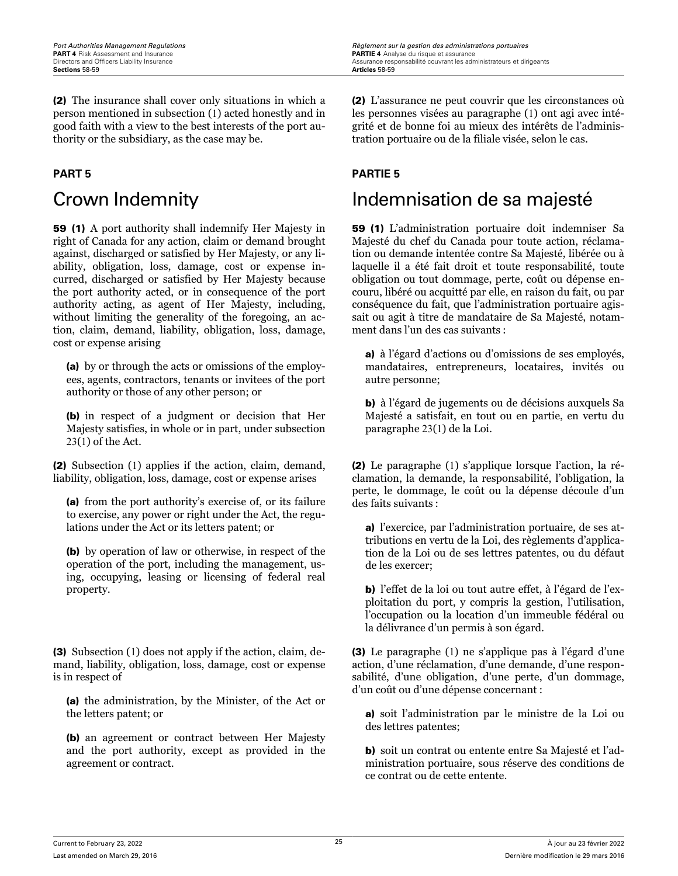(2) The insurance shall cover only situations in which a person mentioned in subsection (1) acted honestly and in good faith with a view to the best interests of the port authority or the subsidiary, as the case may be.

59 (1) A port authority shall indemnify Her Majesty in right of Canada for any action, claim or demand brought against, discharged or satisfied by Her Majesty, or any liability, obligation, loss, damage, cost or expense incurred, discharged or satisfied by Her Majesty because the port authority acted, or in consequence of the port authority acting, as agent of Her Majesty, including, without limiting the generality of the foregoing, an action, claim, demand, liability, obligation, loss, damage, cost or expense arising

(a) by or through the acts or omissions of the employees, agents, contractors, tenants or invitees of the port authority or those of any other person; or

(b) in respect of a judgment or decision that Her Majesty satisfies, in whole or in part, under subsection 23(1) of the Act.

(2) Subsection (1) applies if the action, claim, demand, liability, obligation, loss, damage, cost or expense arises

(a) from the port authority's exercise of, or its failure to exercise, any power or right under the Act, the regulations under the Act or its letters patent; or

(b) by operation of law or otherwise, in respect of the operation of the port, including the management, using, occupying, leasing or licensing of federal real property.

(3) Subsection (1) does not apply if the action, claim, demand, liability, obligation, loss, damage, cost or expense is in respect of

(a) the administration, by the Minister, of the Act or the letters patent; or

(b) an agreement or contract between Her Majesty and the port authority, except as provided in the agreement or contract.

(2) L'assurance ne peut couvrir que les circonstances où les personnes visées au paragraphe (1) ont agi avec intégrité et de bonne foi au mieux des intérêts de l'administration portuaire ou de la filiale visée, selon le cas.

### **PART 5 PARTIE 5**

# Crown Indemnity **Indemnisation de sa majesté**

59 (1) L'administration portuaire doit indemniser Sa Majesté du chef du Canada pour toute action, réclamation ou demande intentée contre Sa Majesté, libérée ou à laquelle il a été fait droit et toute responsabilité, toute obligation ou tout dommage, perte, coût ou dépense encouru, libéré ou acquitté par elle, en raison du fait, ou par conséquence du fait, que l'administration portuaire agissait ou agit à titre de mandataire de Sa Majesté, notamment dans l'un des cas suivants :

a) à l'égard d'actions ou d'omissions de ses employés, mandataires, entrepreneurs, locataires, invités ou autre personne;

b) à l'égard de jugements ou de décisions auxquels Sa Majesté a satisfait, en tout ou en partie, en vertu du paragraphe 23(1) de la Loi.

(2) Le paragraphe (1) s'applique lorsque l'action, la réclamation, la demande, la responsabilité, l'obligation, la perte, le dommage, le coût ou la dépense découle d'un des faits suivants :

a) l'exercice, par l'administration portuaire, de ses attributions en vertu de la Loi, des règlements d'application de la Loi ou de ses lettres patentes, ou du défaut de les exercer;

b) l'effet de la loi ou tout autre effet, à l'égard de l'exploitation du port, y compris la gestion, l'utilisation, l'occupation ou la location d'un immeuble fédéral ou la délivrance d'un permis à son égard.

(3) Le paragraphe (1) ne s'applique pas à l'égard d'une action, d'une réclamation, d'une demande, d'une responsabilité, d'une obligation, d'une perte, d'un dommage, d'un coût ou d'une dépense concernant :

a) soit l'administration par le ministre de la Loi ou des lettres patentes;

b) soit un contrat ou entente entre Sa Majesté et l'administration portuaire, sous réserve des conditions de ce contrat ou de cette entente.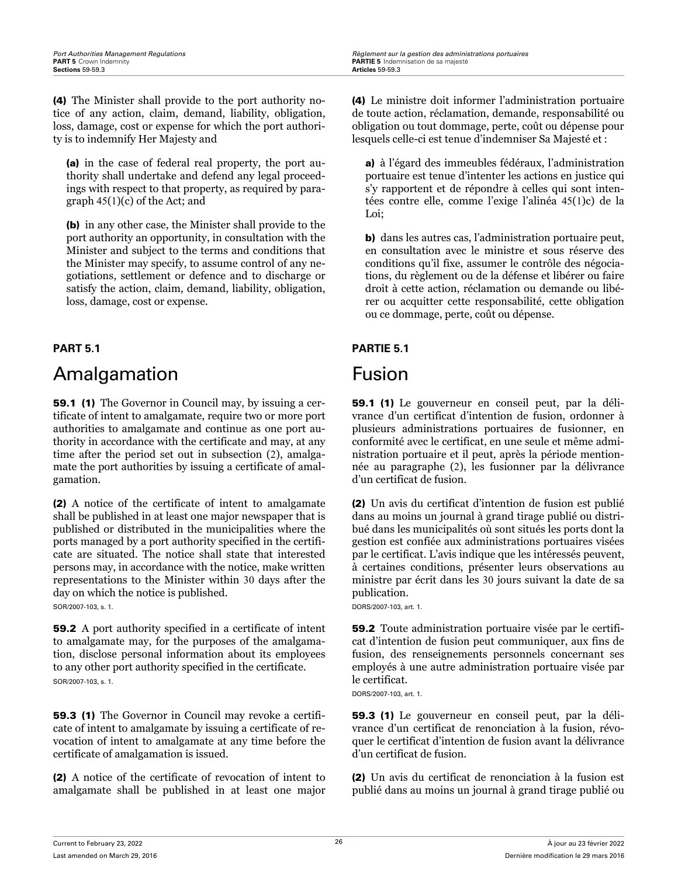(4) The Minister shall provide to the port authority notice of any action, claim, demand, liability, obligation, loss, damage, cost or expense for which the port authority is to indemnify Her Majesty and

(a) in the case of federal real property, the port authority shall undertake and defend any legal proceedings with respect to that property, as required by paragraph 45(1)(c) of the Act; and

(b) in any other case, the Minister shall provide to the port authority an opportunity, in consultation with the Minister and subject to the terms and conditions that the Minister may specify, to assume control of any negotiations, settlement or defence and to discharge or satisfy the action, claim, demand, liability, obligation, loss, damage, cost or expense.

# Amalgamation **Fusion**

59.1 (1) The Governor in Council may, by issuing a certificate of intent to amalgamate, require two or more port authorities to amalgamate and continue as one port authority in accordance with the certificate and may, at any time after the period set out in subsection (2), amalgamate the port authorities by issuing a certificate of amalgamation.

(2) A notice of the certificate of intent to amalgamate shall be published in at least one major newspaper that is published or distributed in the municipalities where the ports managed by a port authority specified in the certificate are situated. The notice shall state that interested persons may, in accordance with the notice, make written representations to the Minister within 30 days after the day on which the notice is published.

SOR/2007-103, s. 1.

59.2 A port authority specified in a certificate of intent to amalgamate may, for the purposes of the amalgamation, disclose personal information about its employees to any other port authority specified in the certificate. SOR/2007-103, s. 1.

59.3 (1) The Governor in Council may revoke a certificate of intent to amalgamate by issuing a certificate of revocation of intent to amalgamate at any time before the certificate of amalgamation is issued.

(2) A notice of the certificate of revocation of intent to amalgamate shall be published in at least one major (4) Le ministre doit informer l'administration portuaire de toute action, réclamation, demande, responsabilité ou obligation ou tout dommage, perte, coût ou dépense pour lesquels celle-ci est tenue d'indemniser Sa Majesté et :

a) à l'égard des immeubles fédéraux, l'administration portuaire est tenue d'intenter les actions en justice qui s'y rapportent et de répondre à celles qui sont intentées contre elle, comme l'exige l'alinéa 45(1)c) de la Loi;

b) dans les autres cas, l'administration portuaire peut, en consultation avec le ministre et sous réserve des conditions qu'il fixe, assumer le contrôle des négociations, du règlement ou de la défense et libérer ou faire droit à cette action, réclamation ou demande ou libérer ou acquitter cette responsabilité, cette obligation ou ce dommage, perte, coût ou dépense.

### **PART 5.1 PARTIE 5.1**

59.1 (1) Le gouverneur en conseil peut, par la délivrance d'un certificat d'intention de fusion, ordonner à plusieurs administrations portuaires de fusionner, en conformité avec le certificat, en une seule et même administration portuaire et il peut, après la période mentionnée au paragraphe (2), les fusionner par la délivrance d'un certificat de fusion.

(2) Un avis du certificat d'intention de fusion est publié dans au moins un journal à grand tirage publié ou distribué dans les municipalités où sont situés les ports dont la gestion est confiée aux administrations portuaires visées par le certificat. L'avis indique que les intéressés peuvent, à certaines conditions, présenter leurs observations au ministre par écrit dans les 30 jours suivant la date de sa publication.

DORS/2007-103, art. 1.

59.2 Toute administration portuaire visée par le certificat d'intention de fusion peut communiquer, aux fins de fusion, des renseignements personnels concernant ses employés à une autre administration portuaire visée par le certificat.

DORS/2007-103, art. 1.

59.3 (1) Le gouverneur en conseil peut, par la délivrance d'un certificat de renonciation à la fusion, révoquer le certificat d'intention de fusion avant la délivrance d'un certificat de fusion.

(2) Un avis du certificat de renonciation à la fusion est publié dans au moins un journal à grand tirage publié ou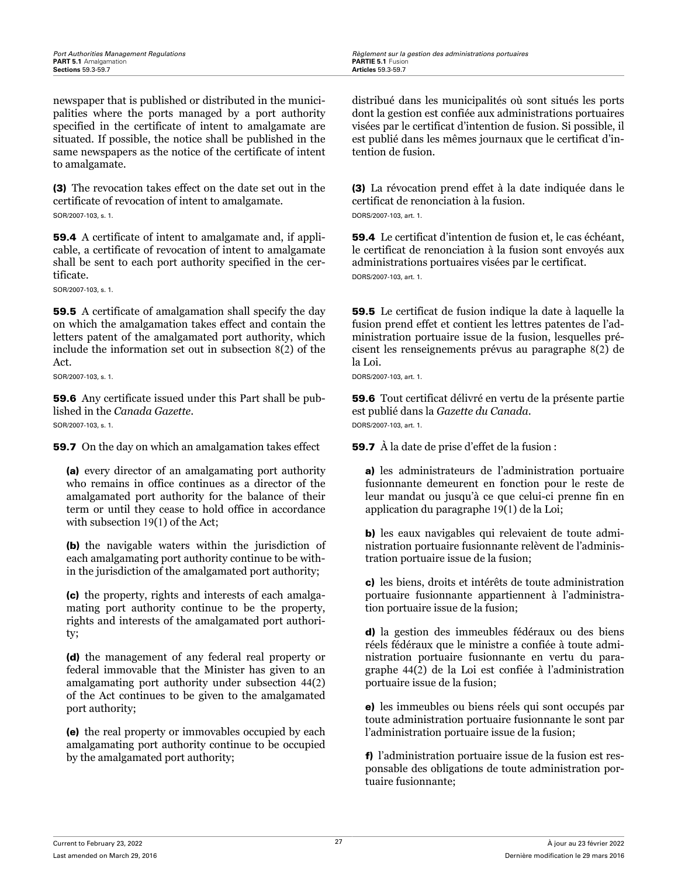newspaper that is published or distributed in the municipalities where the ports managed by a port authority specified in the certificate of intent to amalgamate are situated. If possible, the notice shall be published in the same newspapers as the notice of the certificate of intent to amalgamate.

(3) The revocation takes effect on the date set out in the certificate of revocation of intent to amalgamate. SOR/2007-103, s. 1.

59.4 A certificate of intent to amalgamate and, if applicable, a certificate of revocation of intent to amalgamate shall be sent to each port authority specified in the certificate.

SOR/2007-103, s. 1.

59.5 A certificate of amalgamation shall specify the day on which the amalgamation takes effect and contain the letters patent of the amalgamated port authority, which include the information set out in subsection 8(2) of the Act.

SOR/2007-103 s. 1.

59.6 Any certificate issued under this Part shall be published in the *Canada Gazette*. SOR/2007-103, s. 1.

**59.7** On the day on which an amalgamation takes effect

(a) every director of an amalgamating port authority who remains in office continues as a director of the amalgamated port authority for the balance of their term or until they cease to hold office in accordance with subsection 19(1) of the Act;

(b) the navigable waters within the jurisdiction of each amalgamating port authority continue to be within the jurisdiction of the amalgamated port authority;

(c) the property, rights and interests of each amalgamating port authority continue to be the property, rights and interests of the amalgamated port authority;

(d) the management of any federal real property or federal immovable that the Minister has given to an amalgamating port authority under subsection 44(2) of the Act continues to be given to the amalgamated port authority;

(e) the real property or immovables occupied by each amalgamating port authority continue to be occupied by the amalgamated port authority;

distribué dans les municipalités où sont situés les ports dont la gestion est confiée aux administrations portuaires visées par le certificat d'intention de fusion. Si possible, il est publié dans les mêmes journaux que le certificat d'intention de fusion.

(3) La révocation prend effet à la date indiquée dans le certificat de renonciation à la fusion. DORS/2007-103, art. 1.

59.4 Le certificat d'intention de fusion et, le cas échéant, le certificat de renonciation à la fusion sont envoyés aux administrations portuaires visées par le certificat. DORS/2007-103, art. 1.

59.5 Le certificat de fusion indique la date à laquelle la fusion prend effet et contient les lettres patentes de l'administration portuaire issue de la fusion, lesquelles précisent les renseignements prévus au paragraphe 8(2) de la Loi.

DORS/2007-103, art. 1.

59.6 Tout certificat délivré en vertu de la présente partie est publié dans la *Gazette du Canada*. DORS/2007-103, art. 1.

59.7 À la date de prise d'effet de la fusion :

a) les administrateurs de l'administration portuaire fusionnante demeurent en fonction pour le reste de leur mandat ou jusqu'à ce que celui-ci prenne fin en application du paragraphe 19(1) de la Loi;

b) les eaux navigables qui relevaient de toute administration portuaire fusionnante relèvent de l'administration portuaire issue de la fusion;

c) les biens, droits et intérêts de toute administration portuaire fusionnante appartiennent à l'administration portuaire issue de la fusion;

d) la gestion des immeubles fédéraux ou des biens réels fédéraux que le ministre a confiée à toute administration portuaire fusionnante en vertu du paragraphe 44(2) de la Loi est confiée à l'administration portuaire issue de la fusion;

e) les immeubles ou biens réels qui sont occupés par toute administration portuaire fusionnante le sont par l'administration portuaire issue de la fusion;

f) l'administration portuaire issue de la fusion est responsable des obligations de toute administration portuaire fusionnante;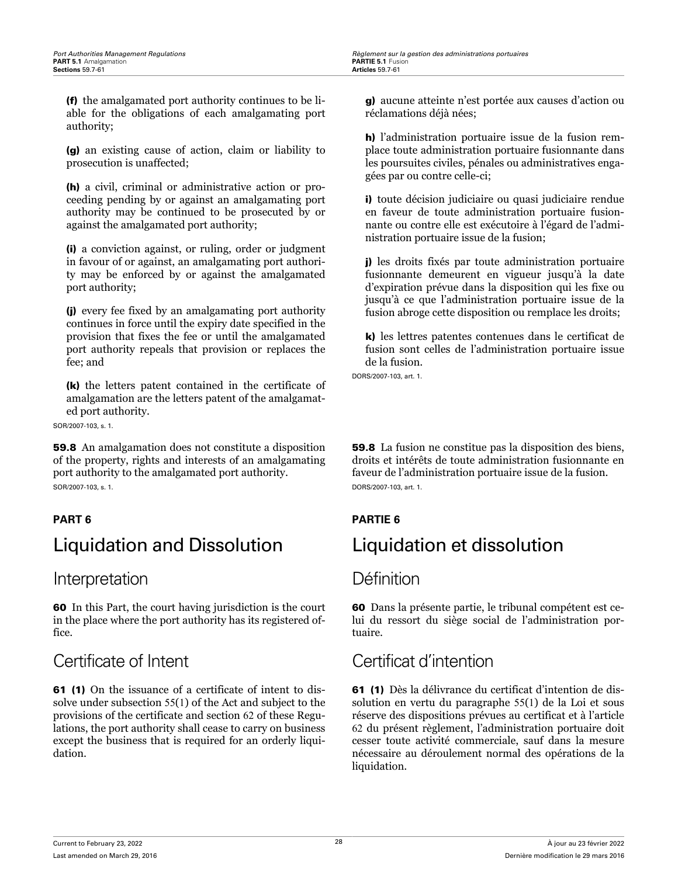(f) the amalgamated port authority continues to be liable for the obligations of each amalgamating port authority;

(g) an existing cause of action, claim or liability to prosecution is unaffected;

(h) a civil, criminal or administrative action or proceeding pending by or against an amalgamating port authority may be continued to be prosecuted by or against the amalgamated port authority;

(i) a conviction against, or ruling, order or judgment in favour of or against, an amalgamating port authority may be enforced by or against the amalgamated port authority;

(j) every fee fixed by an amalgamating port authority continues in force until the expiry date specified in the provision that fixes the fee or until the amalgamated port authority repeals that provision or replaces the fee; and

(k) the letters patent contained in the certificate of amalgamation are the letters patent of the amalgamated port authority.

SOR/2007-103, s. 1.

59.8 An amalgamation does not constitute a disposition of the property, rights and interests of an amalgamating port authority to the amalgamated port authority. SOR/2007-103, s. 1.

# Liquidation and Dissolution Liquidation et dissolution

### Interpretation **Définition**

60 In this Part, the court having jurisdiction is the court in the place where the port authority has its registered office.

61 (1) On the issuance of a certificate of intent to dissolve under subsection 55(1) of the Act and subject to the provisions of the certificate and section 62 of these Regulations, the port authority shall cease to carry on business except the business that is required for an orderly liquidation.

g) aucune atteinte n'est portée aux causes d'action ou réclamations déjà nées;

h) l'administration portuaire issue de la fusion remplace toute administration portuaire fusionnante dans les poursuites civiles, pénales ou administratives engagées par ou contre celle-ci;

i) toute décision judiciaire ou quasi judiciaire rendue en faveur de toute administration portuaire fusionnante ou contre elle est exécutoire à l'égard de l'administration portuaire issue de la fusion;

j) les droits fixés par toute administration portuaire fusionnante demeurent en vigueur jusqu'à la date d'expiration prévue dans la disposition qui les fixe ou jusqu'à ce que l'administration portuaire issue de la fusion abroge cette disposition ou remplace les droits;

k) les lettres patentes contenues dans le certificat de fusion sont celles de l'administration portuaire issue de la fusion.

DORS/2007-103, art. 1.

59.8 La fusion ne constitue pas la disposition des biens, droits et intérêts de toute administration fusionnante en faveur de l'administration portuaire issue de la fusion. DORS/2007-103, art. 1.

### **PART 6 PARTIE 6**

60 Dans la présente partie, le tribunal compétent est celui du ressort du siège social de l'administration portuaire.

# Certificate of Intent Certificat d'intention

61 (1) Dès la délivrance du certificat d'intention de dissolution en vertu du paragraphe 55(1) de la Loi et sous réserve des dispositions prévues au certificat et à l'article 62 du présent règlement, l'administration portuaire doit cesser toute activité commerciale, sauf dans la mesure nécessaire au déroulement normal des opérations de la liquidation.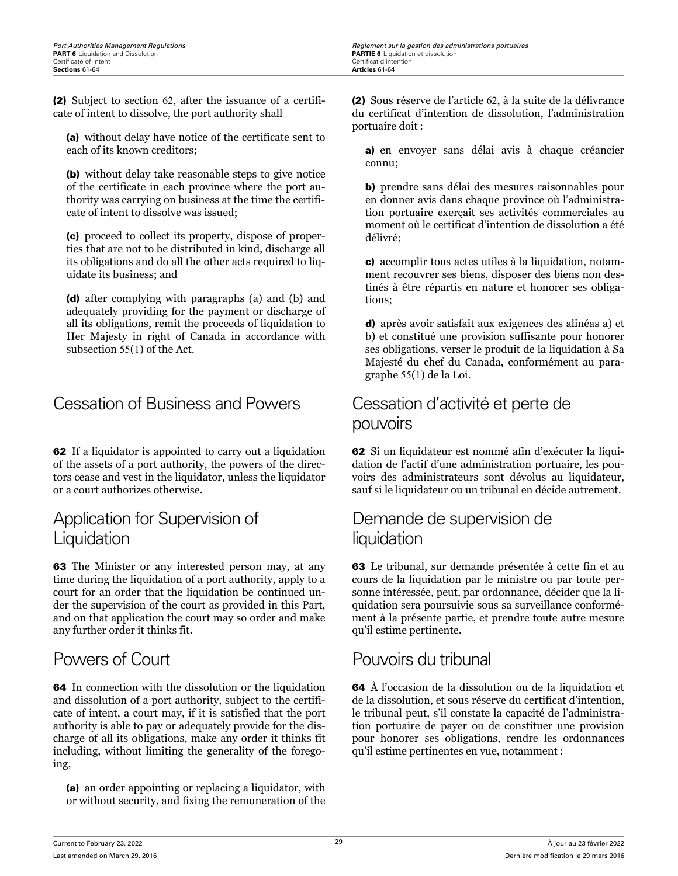(2) Subject to section 62, after the issuance of a certificate of intent to dissolve, the port authority shall

(a) without delay have notice of the certificate sent to each of its known creditors;

(b) without delay take reasonable steps to give notice of the certificate in each province where the port authority was carrying on business at the time the certificate of intent to dissolve was issued;

(c) proceed to collect its property, dispose of properties that are not to be distributed in kind, discharge all its obligations and do all the other acts required to liquidate its business; and

(d) after complying with paragraphs (a) and (b) and adequately providing for the payment or discharge of all its obligations, remit the proceeds of liquidation to Her Majesty in right of Canada in accordance with subsection 55(1) of the Act.

# Cessation of Business and Powers Cessation d'activité et perte de

62 If a liquidator is appointed to carry out a liquidation of the assets of a port authority, the powers of the directors cease and vest in the liquidator, unless the liquidator or a court authorizes otherwise.

# Application for Supervision of Liquidation

63 The Minister or any interested person may, at any time during the liquidation of a port authority, apply to a court for an order that the liquidation be continued under the supervision of the court as provided in this Part, and on that application the court may so order and make any further order it thinks fit.

64 In connection with the dissolution or the liquidation and dissolution of a port authority, subject to the certificate of intent, a court may, if it is satisfied that the port authority is able to pay or adequately provide for the discharge of all its obligations, make any order it thinks fit including, without limiting the generality of the foregoing,

(a) an order appointing or replacing a liquidator, with or without security, and fixing the remuneration of the (2) Sous réserve de l'article 62, à la suite de la délivrance du certificat d'intention de dissolution, l'administration portuaire doit :

a) en envoyer sans délai avis à chaque créancier connu;

b) prendre sans délai des mesures raisonnables pour en donner avis dans chaque province où l'administration portuaire exerçait ses activités commerciales au moment où le certificat d'intention de dissolution a été délivré;

c) accomplir tous actes utiles à la liquidation, notamment recouvrer ses biens, disposer des biens non destinés à être répartis en nature et honorer ses obligations;

d) après avoir satisfait aux exigences des alinéas a) et b) et constitué une provision suffisante pour honorer ses obligations, verser le produit de la liquidation à Sa Majesté du chef du Canada, conformément au paragraphe 55(1) de la Loi.

# pouvoirs

62 Si un liquidateur est nommé afin d'exécuter la liquidation de l'actif d'une administration portuaire, les pouvoirs des administrateurs sont dévolus au liquidateur, sauf si le liquidateur ou un tribunal en décide autrement.

# Demande de supervision de liquidation

63 Le tribunal, sur demande présentée à cette fin et au cours de la liquidation par le ministre ou par toute personne intéressée, peut, par ordonnance, décider que la liquidation sera poursuivie sous sa surveillance conformément à la présente partie, et prendre toute autre mesure qu'il estime pertinente.

# Powers of Court **Pouvoirs du tribunal**

64 À l'occasion de la dissolution ou de la liquidation et de la dissolution, et sous réserve du certificat d'intention, le tribunal peut, s'il constate la capacité de l'administration portuaire de payer ou de constituer une provision pour honorer ses obligations, rendre les ordonnances qu'il estime pertinentes en vue, notamment :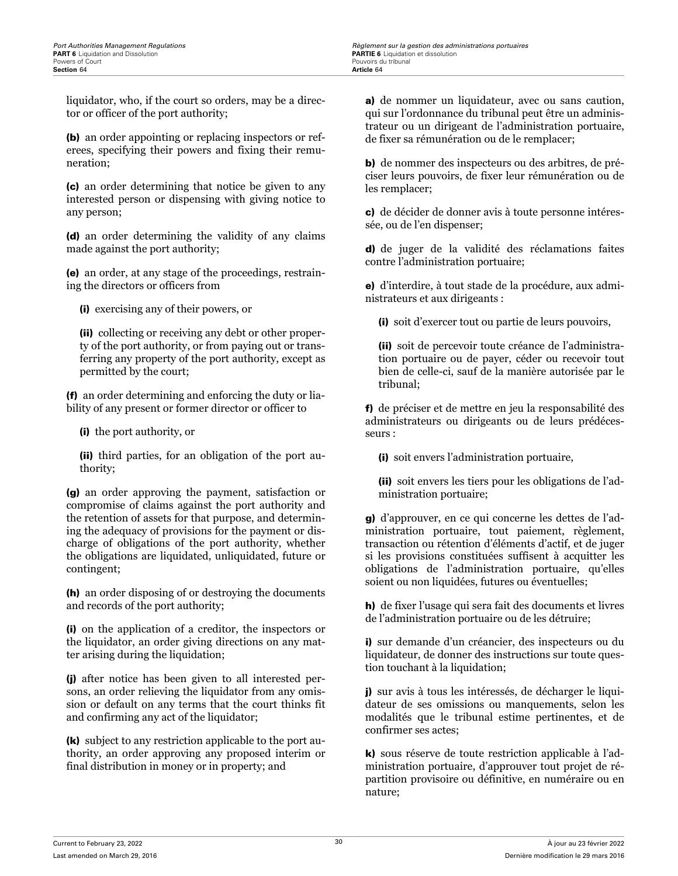liquidator, who, if the court so orders, may be a director or officer of the port authority;

(b) an order appointing or replacing inspectors or referees, specifying their powers and fixing their remuneration;

(c) an order determining that notice be given to any interested person or dispensing with giving notice to any person;

(d) an order determining the validity of any claims made against the port authority;

(e) an order, at any stage of the proceedings, restraining the directors or officers from

(i) exercising any of their powers, or

(ii) collecting or receiving any debt or other property of the port authority, or from paying out or transferring any property of the port authority, except as permitted by the court;

(f) an order determining and enforcing the duty or liability of any present or former director or officer to

(i) the port authority, or

(ii) third parties, for an obligation of the port authority;

(g) an order approving the payment, satisfaction or compromise of claims against the port authority and the retention of assets for that purpose, and determining the adequacy of provisions for the payment or discharge of obligations of the port authority, whether the obligations are liquidated, unliquidated, future or contingent;

(h) an order disposing of or destroying the documents and records of the port authority;

(i) on the application of a creditor, the inspectors or the liquidator, an order giving directions on any matter arising during the liquidation;

(j) after notice has been given to all interested persons, an order relieving the liquidator from any omission or default on any terms that the court thinks fit and confirming any act of the liquidator;

(k) subject to any restriction applicable to the port authority, an order approving any proposed interim or final distribution in money or in property; and

a) de nommer un liquidateur, avec ou sans caution, qui sur l'ordonnance du tribunal peut être un administrateur ou un dirigeant de l'administration portuaire, de fixer sa rémunération ou de le remplacer;

b) de nommer des inspecteurs ou des arbitres, de préciser leurs pouvoirs, de fixer leur rémunération ou de les remplacer;

c) de décider de donner avis à toute personne intéressée, ou de l'en dispenser;

d) de juger de la validité des réclamations faites contre l'administration portuaire;

e) d'interdire, à tout stade de la procédure, aux administrateurs et aux dirigeants :

(i) soit d'exercer tout ou partie de leurs pouvoirs,

(ii) soit de percevoir toute créance de l'administration portuaire ou de payer, céder ou recevoir tout bien de celle-ci, sauf de la manière autorisée par le tribunal;

f) de préciser et de mettre en jeu la responsabilité des administrateurs ou dirigeants ou de leurs prédécesseurs :

(i) soit envers l'administration portuaire,

(ii) soit envers les tiers pour les obligations de l'administration portuaire;

g) d'approuver, en ce qui concerne les dettes de l'administration portuaire, tout paiement, règlement, transaction ou rétention d'éléments d'actif, et de juger si les provisions constituées suffisent à acquitter les obligations de l'administration portuaire, qu'elles soient ou non liquidées, futures ou éventuelles;

h) de fixer l'usage qui sera fait des documents et livres de l'administration portuaire ou de les détruire;

i) sur demande d'un créancier, des inspecteurs ou du liquidateur, de donner des instructions sur toute question touchant à la liquidation;

j) sur avis à tous les intéressés, de décharger le liquidateur de ses omissions ou manquements, selon les modalités que le tribunal estime pertinentes, et de confirmer ses actes;

k) sous réserve de toute restriction applicable à l'administration portuaire, d'approuver tout projet de répartition provisoire ou définitive, en numéraire ou en nature;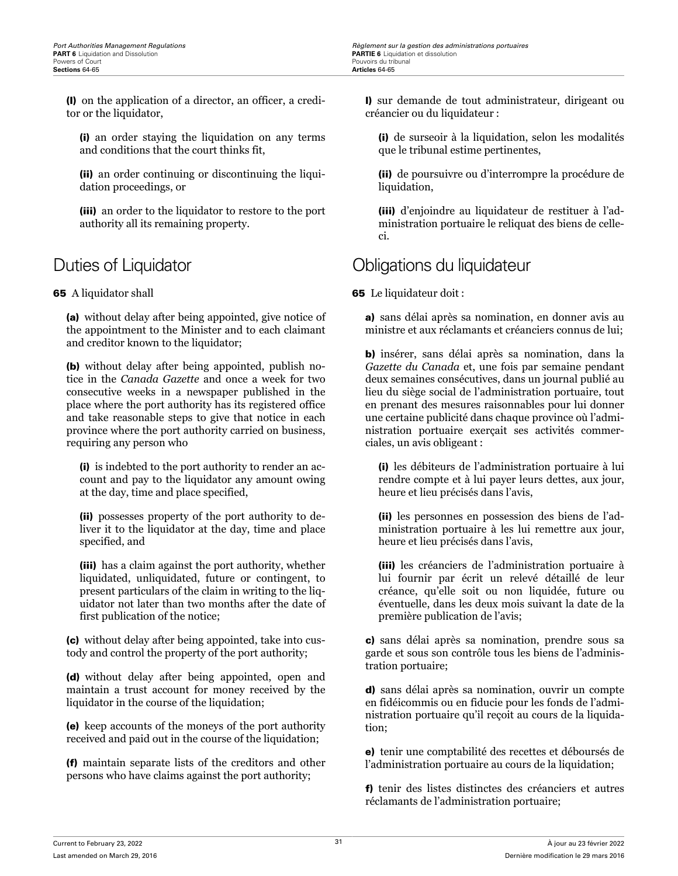(l) on the application of a director, an officer, a creditor or the liquidator,

(i) an order staying the liquidation on any terms and conditions that the court thinks fit,

(ii) an order continuing or discontinuing the liquidation proceedings, or

(iii) an order to the liquidator to restore to the port authority all its remaining property.

65 A liquidator shall

(a) without delay after being appointed, give notice of the appointment to the Minister and to each claimant and creditor known to the liquidator;

(b) without delay after being appointed, publish notice in the *Canada Gazette* and once a week for two consecutive weeks in a newspaper published in the place where the port authority has its registered office and take reasonable steps to give that notice in each province where the port authority carried on business, requiring any person who

(i) is indebted to the port authority to render an account and pay to the liquidator any amount owing at the day, time and place specified,

(ii) possesses property of the port authority to deliver it to the liquidator at the day, time and place specified, and

(iii) has a claim against the port authority, whether liquidated, unliquidated, future or contingent, to present particulars of the claim in writing to the liquidator not later than two months after the date of first publication of the notice;

(c) without delay after being appointed, take into custody and control the property of the port authority;

(d) without delay after being appointed, open and maintain a trust account for money received by the liquidator in the course of the liquidation;

(e) keep accounts of the moneys of the port authority received and paid out in the course of the liquidation;

(f) maintain separate lists of the creditors and other persons who have claims against the port authority;

l) sur demande de tout administrateur, dirigeant ou créancier ou du liquidateur :

(i) de surseoir à la liquidation, selon les modalités que le tribunal estime pertinentes,

(ii) de poursuivre ou d'interrompre la procédure de liquidation,

(iii) d'enjoindre au liquidateur de restituer à l'administration portuaire le reliquat des biens de celleci.

# Duties of Liquidator **Container Containers** Obligations du liquidateur

65 Le liquidateur doit :

a) sans délai après sa nomination, en donner avis au ministre et aux réclamants et créanciers connus de lui;

b) insérer, sans délai après sa nomination, dans la *Gazette du Canada* et, une fois par semaine pendant deux semaines consécutives, dans un journal publié au lieu du siège social de l'administration portuaire, tout en prenant des mesures raisonnables pour lui donner une certaine publicité dans chaque province où l'administration portuaire exerçait ses activités commerciales, un avis obligeant :

(i) les débiteurs de l'administration portuaire à lui rendre compte et à lui payer leurs dettes, aux jour, heure et lieu précisés dans l'avis,

(ii) les personnes en possession des biens de l'administration portuaire à les lui remettre aux jour, heure et lieu précisés dans l'avis,

(iii) les créanciers de l'administration portuaire à lui fournir par écrit un relevé détaillé de leur créance, qu'elle soit ou non liquidée, future ou éventuelle, dans les deux mois suivant la date de la première publication de l'avis;

c) sans délai après sa nomination, prendre sous sa garde et sous son contrôle tous les biens de l'administration portuaire;

d) sans délai après sa nomination, ouvrir un compte en fidéicommis ou en fiducie pour les fonds de l'administration portuaire qu'il reçoit au cours de la liquidation;

e) tenir une comptabilité des recettes et déboursés de l'administration portuaire au cours de la liquidation;

f) tenir des listes distinctes des créanciers et autres réclamants de l'administration portuaire;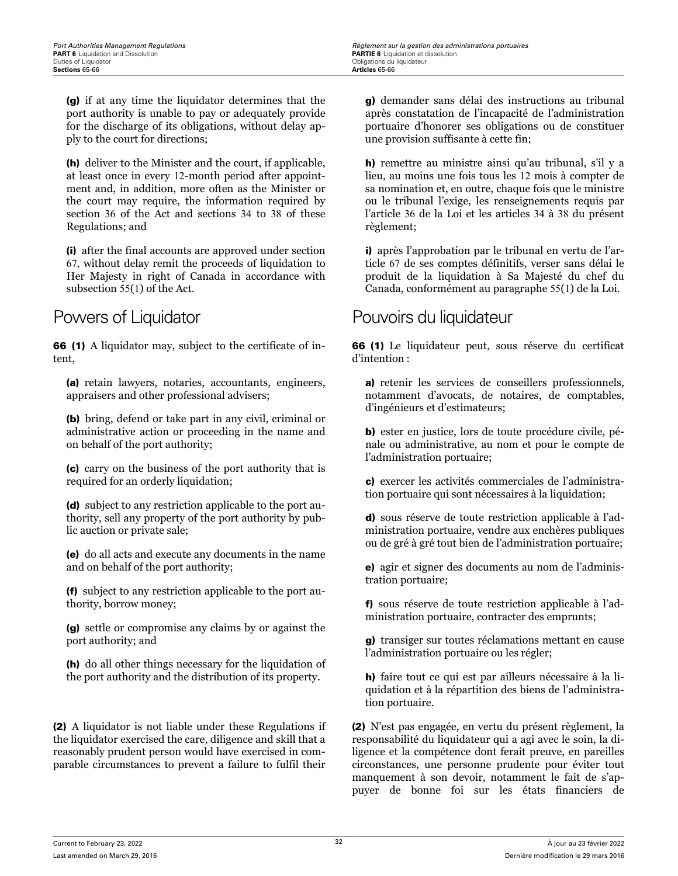(g) if at any time the liquidator determines that the port authority is unable to pay or adequately provide for the discharge of its obligations, without delay apply to the court for directions;

(h) deliver to the Minister and the court, if applicable, at least once in every 12-month period after appointment and, in addition, more often as the Minister or the court may require, the information required by section 36 of the Act and sections 34 to 38 of these Regulations; and

(i) after the final accounts are approved under section 67, without delay remit the proceeds of liquidation to Her Majesty in right of Canada in accordance with subsection 55(1) of the Act.

66 (1) A liquidator may, subject to the certificate of intent,

(a) retain lawyers, notaries, accountants, engineers, appraisers and other professional advisers;

(b) bring, defend or take part in any civil, criminal or administrative action or proceeding in the name and on behalf of the port authority;

(c) carry on the business of the port authority that is required for an orderly liquidation;

(d) subject to any restriction applicable to the port authority, sell any property of the port authority by public auction or private sale;

(e) do all acts and execute any documents in the name and on behalf of the port authority;

(f) subject to any restriction applicable to the port authority, borrow money;

(g) settle or compromise any claims by or against the port authority; and

(h) do all other things necessary for the liquidation of the port authority and the distribution of its property.

(2) A liquidator is not liable under these Regulations if the liquidator exercised the care, diligence and skill that a reasonably prudent person would have exercised in comparable circumstances to prevent a failure to fulfil their

g) demander sans délai des instructions au tribunal après constatation de l'incapacité de l'administration portuaire d'honorer ses obligations ou de constituer une provision suffisante à cette fin;

h) remettre au ministre ainsi qu'au tribunal, s'il y a lieu, au moins une fois tous les 12 mois à compter de sa nomination et, en outre, chaque fois que le ministre ou le tribunal l'exige, les renseignements requis par l'article 36 de la Loi et les articles 34 à 38 du présent règlement;

i) après l'approbation par le tribunal en vertu de l'article 67 de ses comptes définitifs, verser sans délai le produit de la liquidation à Sa Majesté du chef du Canada, conformément au paragraphe 55(1) de la Loi.

## Powers of Liquidator **Pouvoirs du liquidateur**

66 (1) Le liquidateur peut, sous réserve du certificat d'intention :

a) retenir les services de conseillers professionnels, notamment d'avocats, de notaires, de comptables, d'ingénieurs et d'estimateurs;

b) ester en justice, lors de toute procédure civile, pénale ou administrative, au nom et pour le compte de l'administration portuaire;

c) exercer les activités commerciales de l'administration portuaire qui sont nécessaires à la liquidation;

d) sous réserve de toute restriction applicable à l'administration portuaire, vendre aux enchères publiques ou de gré à gré tout bien de l'administration portuaire;

e) agir et signer des documents au nom de l'administration portuaire;

f) sous réserve de toute restriction applicable à l'administration portuaire, contracter des emprunts;

g) transiger sur toutes réclamations mettant en cause l'administration portuaire ou les régler;

h) faire tout ce qui est par ailleurs nécessaire à la liquidation et à la répartition des biens de l'administration portuaire.

(2) N'est pas engagée, en vertu du présent règlement, la responsabilité du liquidateur qui a agi avec le soin, la diligence et la compétence dont ferait preuve, en pareilles circonstances, une personne prudente pour éviter tout manquement à son devoir, notamment le fait de s'appuyer de bonne foi sur les états financiers de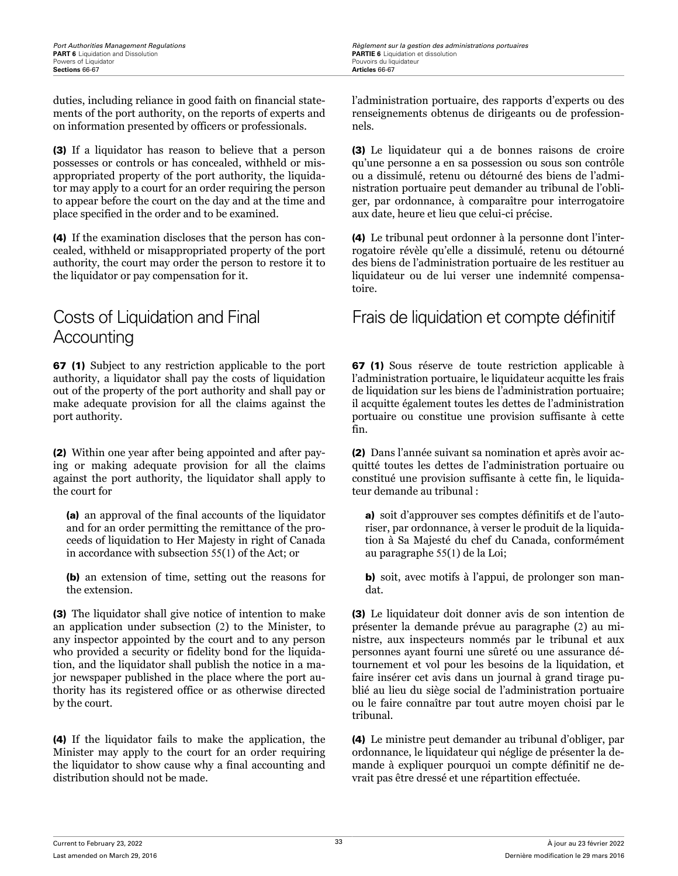duties, including reliance in good faith on financial statements of the port authority, on the reports of experts and on information presented by officers or professionals.

(3) If a liquidator has reason to believe that a person possesses or controls or has concealed, withheld or misappropriated property of the port authority, the liquidator may apply to a court for an order requiring the person to appear before the court on the day and at the time and place specified in the order and to be examined.

(4) If the examination discloses that the person has concealed, withheld or misappropriated property of the port authority, the court may order the person to restore it to the liquidator or pay compensation for it.

# Costs of Liquidation and Final **Accounting**

67 (1) Subject to any restriction applicable to the port authority, a liquidator shall pay the costs of liquidation out of the property of the port authority and shall pay or make adequate provision for all the claims against the port authority.

(2) Within one year after being appointed and after paying or making adequate provision for all the claims against the port authority, the liquidator shall apply to the court for

(a) an approval of the final accounts of the liquidator and for an order permitting the remittance of the proceeds of liquidation to Her Majesty in right of Canada in accordance with subsection 55(1) of the Act; or

(b) an extension of time, setting out the reasons for the extension.

(3) The liquidator shall give notice of intention to make an application under subsection (2) to the Minister, to any inspector appointed by the court and to any person who provided a security or fidelity bond for the liquidation, and the liquidator shall publish the notice in a major newspaper published in the place where the port authority has its registered office or as otherwise directed by the court.

(4) If the liquidator fails to make the application, the Minister may apply to the court for an order requiring the liquidator to show cause why a final accounting and distribution should not be made.

l'administration portuaire, des rapports d'experts ou des renseignements obtenus de dirigeants ou de professionnels.

(3) Le liquidateur qui a de bonnes raisons de croire qu'une personne a en sa possession ou sous son contrôle ou a dissimulé, retenu ou détourné des biens de l'administration portuaire peut demander au tribunal de l'obliger, par ordonnance, à comparaître pour interrogatoire aux date, heure et lieu que celui-ci précise.

(4) Le tribunal peut ordonner à la personne dont l'interrogatoire révèle qu'elle a dissimulé, retenu ou détourné des biens de l'administration portuaire de les restituer au liquidateur ou de lui verser une indemnité compensatoire.

## Frais de liquidation et compte définitif

67 (1) Sous réserve de toute restriction applicable à l'administration portuaire, le liquidateur acquitte les frais de liquidation sur les biens de l'administration portuaire; il acquitte également toutes les dettes de l'administration portuaire ou constitue une provision suffisante à cette fin.

(2) Dans l'année suivant sa nomination et après avoir acquitté toutes les dettes de l'administration portuaire ou constitué une provision suffisante à cette fin, le liquidateur demande au tribunal :

a) soit d'approuver ses comptes définitifs et de l'autoriser, par ordonnance, à verser le produit de la liquidation à Sa Majesté du chef du Canada, conformément au paragraphe 55(1) de la Loi;

b) soit, avec motifs à l'appui, de prolonger son mandat.

(3) Le liquidateur doit donner avis de son intention de présenter la demande prévue au paragraphe (2) au ministre, aux inspecteurs nommés par le tribunal et aux personnes ayant fourni une sûreté ou une assurance détournement et vol pour les besoins de la liquidation, et faire insérer cet avis dans un journal à grand tirage publié au lieu du siège social de l'administration portuaire ou le faire connaître par tout autre moyen choisi par le tribunal.

(4) Le ministre peut demander au tribunal d'obliger, par ordonnance, le liquidateur qui néglige de présenter la demande à expliquer pourquoi un compte définitif ne devrait pas être dressé et une répartition effectuée.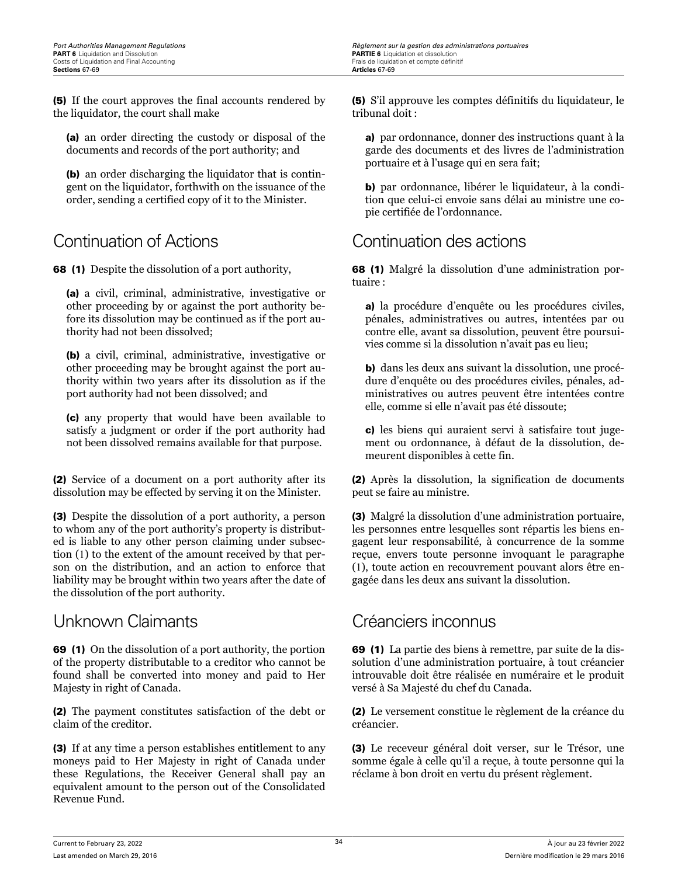(5) If the court approves the final accounts rendered by the liquidator, the court shall make

(a) an order directing the custody or disposal of the documents and records of the port authority; and

(b) an order discharging the liquidator that is contingent on the liquidator, forthwith on the issuance of the order, sending a certified copy of it to the Minister.

68 (1) Despite the dissolution of a port authority,

(a) a civil, criminal, administrative, investigative or other proceeding by or against the port authority before its dissolution may be continued as if the port authority had not been dissolved;

(b) a civil, criminal, administrative, investigative or other proceeding may be brought against the port authority within two years after its dissolution as if the port authority had not been dissolved; and

(c) any property that would have been available to satisfy a judgment or order if the port authority had not been dissolved remains available for that purpose.

(2) Service of a document on a port authority after its dissolution may be effected by serving it on the Minister.

(3) Despite the dissolution of a port authority, a person to whom any of the port authority's property is distributed is liable to any other person claiming under subsection (1) to the extent of the amount received by that person on the distribution, and an action to enforce that liability may be brought within two years after the date of the dissolution of the port authority.

## Unknown Claimants Créanciers inconnus

69 (1) On the dissolution of a port authority, the portion of the property distributable to a creditor who cannot be found shall be converted into money and paid to Her Majesty in right of Canada.

(2) The payment constitutes satisfaction of the debt or claim of the creditor.

(3) If at any time a person establishes entitlement to any moneys paid to Her Majesty in right of Canada under these Regulations, the Receiver General shall pay an equivalent amount to the person out of the Consolidated Revenue Fund.

(5) S'il approuve les comptes définitifs du liquidateur, le tribunal doit :

a) par ordonnance, donner des instructions quant à la garde des documents et des livres de l'administration portuaire et à l'usage qui en sera fait;

b) par ordonnance, libérer le liquidateur, à la condition que celui-ci envoie sans délai au ministre une copie certifiée de l'ordonnance.

# Continuation of Actions Continuation des actions

68 (1) Malgré la dissolution d'une administration portuaire :

a) la procédure d'enquête ou les procédures civiles, pénales, administratives ou autres, intentées par ou contre elle, avant sa dissolution, peuvent être poursuivies comme si la dissolution n'avait pas eu lieu;

b) dans les deux ans suivant la dissolution, une procédure d'enquête ou des procédures civiles, pénales, administratives ou autres peuvent être intentées contre elle, comme si elle n'avait pas été dissoute;

c) les biens qui auraient servi à satisfaire tout jugement ou ordonnance, à défaut de la dissolution, demeurent disponibles à cette fin.

(2) Après la dissolution, la signification de documents peut se faire au ministre.

(3) Malgré la dissolution d'une administration portuaire, les personnes entre lesquelles sont répartis les biens engagent leur responsabilité, à concurrence de la somme reçue, envers toute personne invoquant le paragraphe (1), toute action en recouvrement pouvant alors être engagée dans les deux ans suivant la dissolution.

69 (1) La partie des biens à remettre, par suite de la dissolution d'une administration portuaire, à tout créancier introuvable doit être réalisée en numéraire et le produit versé à Sa Majesté du chef du Canada.

(2) Le versement constitue le règlement de la créance du créancier.

(3) Le receveur général doit verser, sur le Trésor, une somme égale à celle qu'il a reçue, à toute personne qui la réclame à bon droit en vertu du présent règlement.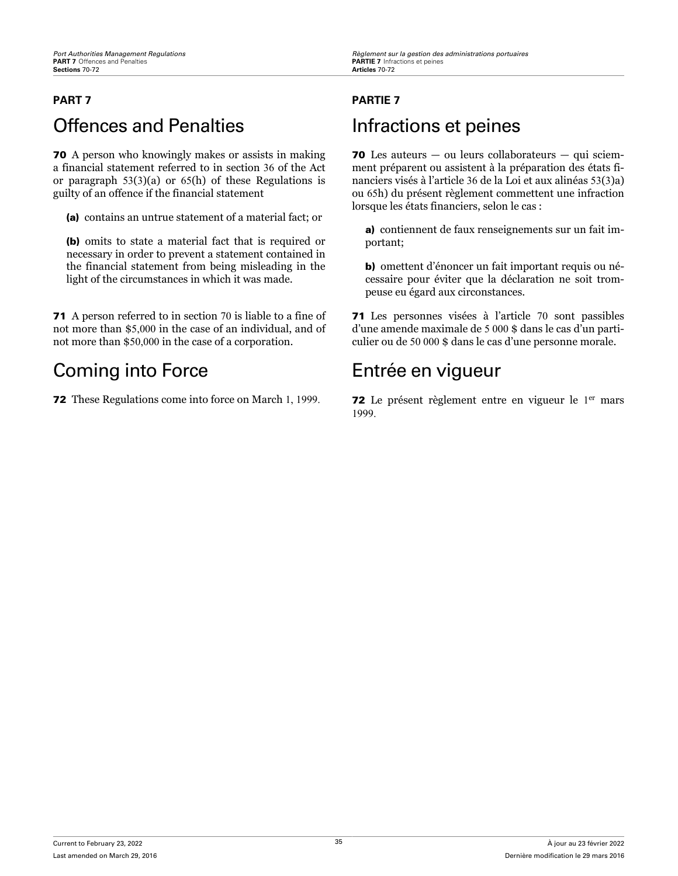# **PART 7 PARTIE 7** Offences and Penalties **Infractions et peines**

70 A person who knowingly makes or assists in making a financial statement referred to in section 36 of the Act or paragraph 53(3)(a) or 65(h) of these Regulations is guilty of an offence if the financial statement

(a) contains an untrue statement of a material fact; or

(b) omits to state a material fact that is required or necessary in order to prevent a statement contained in the financial statement from being misleading in the light of the circumstances in which it was made.

71 A person referred to in section 70 is liable to a fine of not more than \$5,000 in the case of an individual, and of not more than \$50,000 in the case of a corporation.

# Coming into Force Entrée en vigueur

70 Les auteurs — ou leurs collaborateurs — qui sciemment préparent ou assistent à la préparation des états financiers visés à l'article 36 de la Loi et aux alinéas 53(3)a) ou 65h) du présent règlement commettent une infraction lorsque les états financiers, selon le cas :

a) contiennent de faux renseignements sur un fait important;

b) omettent d'énoncer un fait important requis ou nécessaire pour éviter que la déclaration ne soit trompeuse eu égard aux circonstances.

71 Les personnes visées à l'article 70 sont passibles d'une amende maximale de 5 000 \$ dans le cas d'un particulier ou de 50 000 \$ dans le cas d'une personne morale.

**72** These Regulations come into force on March 1, 1999. **72** Le présent règlement entre en vigueur le 1<sup>er</sup> mars 1999.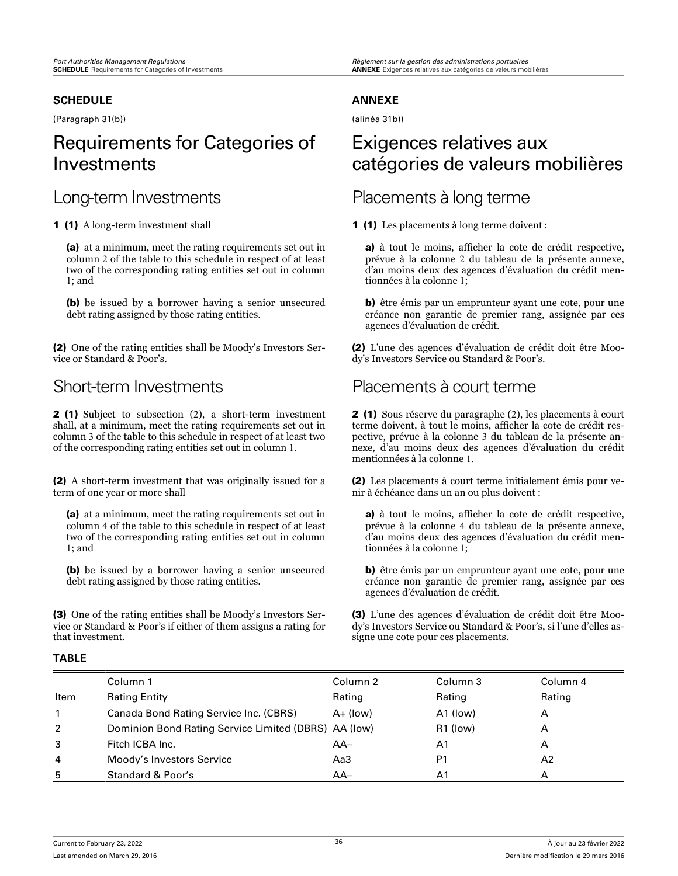### **SCHEDULE**

(Paragraph 31(b))

# Requirements for Categories of Investments

1 (1) A long-term investment shall

(a) at a minimum, meet the rating requirements set out in column 2 of the table to this schedule in respect of at least two of the corresponding rating entities set out in column 1; and

(b) be issued by a borrower having a senior unsecured debt rating assigned by those rating entities.

(2) One of the rating entities shall be Moody's Investors Service or Standard & Poor's.

2 (1) Subject to subsection (2), a short-term investment shall, at a minimum, meet the rating requirements set out in column 3 of the table to this schedule in respect of at least two of the corresponding rating entities set out in column 1.

(2) A short-term investment that was originally issued for a term of one year or more shall

(a) at a minimum, meet the rating requirements set out in column 4 of the table to this schedule in respect of at least two of the corresponding rating entities set out in column 1; and

(b) be issued by a borrower having a senior unsecured debt rating assigned by those rating entities.

(3) One of the rating entities shall be Moody's Investors Service or Standard & Poor's if either of them assigns a rating for that investment.

### **ANNEXE**

(alinéa 31b))

# Exigences relatives aux catégories de valeurs mobilières

## Long-term Investments Placements à long terme

1 (1) Les placements à long terme doivent :

a) à tout le moins, afficher la cote de crédit respective, prévue à la colonne 2 du tableau de la présente annexe, d'au moins deux des agences d'évaluation du crédit mentionnées à la colonne 1;

b) être émis par un emprunteur ayant une cote, pour une créance non garantie de premier rang, assignée par ces agences d'évaluation de crédit.

(2) L'une des agences d'évaluation de crédit doit être Moody's Investors Service ou Standard & Poor's.

## Short-term Investments Placements à court terme

2 (1) Sous réserve du paragraphe (2), les placements à court terme doivent, à tout le moins, afficher la cote de crédit respective, prévue à la colonne 3 du tableau de la présente annexe, d'au moins deux des agences d'évaluation du crédit mentionnées à la colonne 1.

(2) Les placements à court terme initialement émis pour venir à échéance dans un an ou plus doivent :

a) à tout le moins, afficher la cote de crédit respective, prévue à la colonne 4 du tableau de la présente annexe, d'au moins deux des agences d'évaluation du crédit mentionnées à la colonne 1;

b) être émis par un emprunteur ayant une cote, pour une créance non garantie de premier rang, assignée par ces agences d'évaluation de crédit.

(3) L'une des agences d'évaluation de crédit doit être Moody's Investors Service ou Standard & Poor's, si l'une d'elles assigne une cote pour ces placements.

### **TABLE**

|      | Column 1                                             | Column <sub>2</sub> | Column 3       | Column 4 |
|------|------------------------------------------------------|---------------------|----------------|----------|
| Item | <b>Rating Entity</b>                                 | Rating              | Rating         | Rating   |
|      | Canada Bond Rating Service Inc. (CBRS)               | $A+ (low)$          | A1 (low)       | Α        |
| 2    | Dominion Bond Rating Service Limited (DBRS) AA (low) |                     | R1 (low)       | А        |
| 3    | Fitch ICBA Inc.                                      | $AA-$               | A1             | Α        |
| 4    | Moody's Investors Service                            | Aa3                 | P <sub>1</sub> | A2       |
| 5    | Standard & Poor's                                    | $AA-$               | A1             | А        |